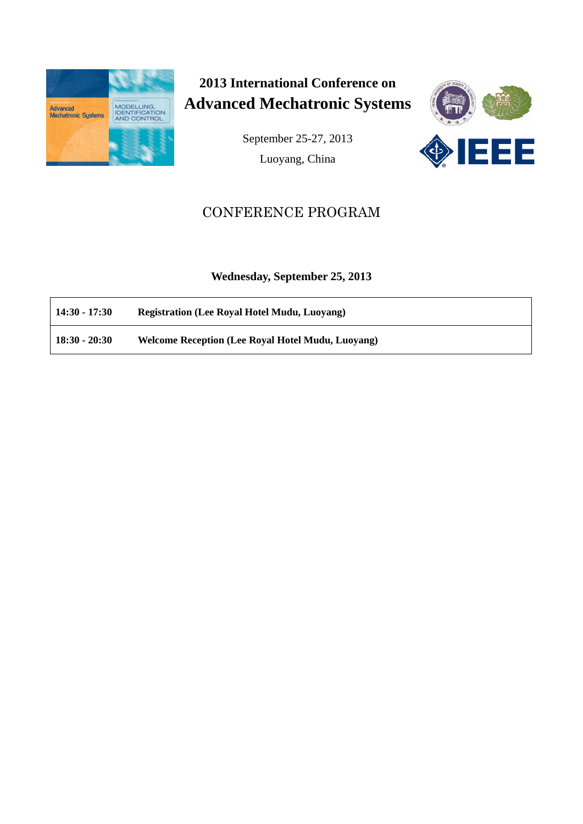

**2013 International Conference on Advanced Mechatronic Systems**

> September 25-27, 2013 Luoyang, China



# CONFERENCE PROGRAM

**Wednesday, September 25, 2013**

| $14:30 - 17:30$ | <b>Registration (Lee Royal Hotel Mudu, Luoyang)</b> |
|-----------------|-----------------------------------------------------|
| $18:30 - 20:30$ | Welcome Reception (Lee Royal Hotel Mudu, Luoyang)   |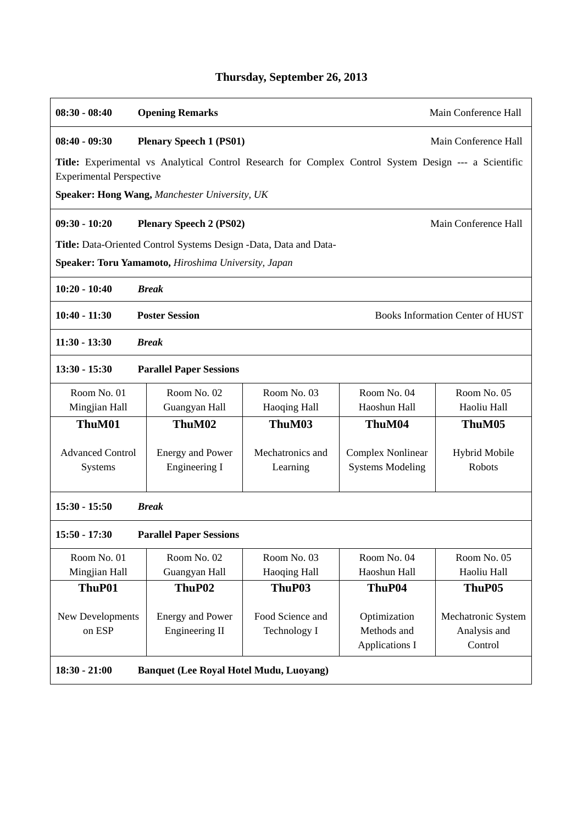| $08:30 - 08:40$                                                                     | Main Conference Hall<br><b>Opening Remarks</b>                                                        |                     |                          |                      |
|-------------------------------------------------------------------------------------|-------------------------------------------------------------------------------------------------------|---------------------|--------------------------|----------------------|
| $08:40 - 09:30$                                                                     | <b>Plenary Speech 1 (PS01)</b><br>Main Conference Hall                                                |                     |                          |                      |
| <b>Experimental Perspective</b>                                                     | Title: Experimental vs Analytical Control Research for Complex Control System Design --- a Scientific |                     |                          |                      |
|                                                                                     | Speaker: Hong Wang, Manchester University, UK                                                         |                     |                          |                      |
| $09:30 - 10:20$                                                                     | <b>Plenary Speech 2 (PS02)</b>                                                                        |                     |                          | Main Conference Hall |
|                                                                                     | Title: Data-Oriented Control Systems Design -Data, Data and Data-                                     |                     |                          |                      |
|                                                                                     | Speaker: Toru Yamamoto, Hiroshima University, Japan                                                   |                     |                          |                      |
| $10:20 - 10:40$<br><b>Break</b>                                                     |                                                                                                       |                     |                          |                      |
| <b>Poster Session</b><br><b>Books Information Center of HUST</b><br>$10:40 - 11:30$ |                                                                                                       |                     |                          |                      |
| $11:30 - 13:30$                                                                     | <b>Break</b>                                                                                          |                     |                          |                      |
| $13:30 - 15:30$<br><b>Parallel Paper Sessions</b>                                   |                                                                                                       |                     |                          |                      |
| Room No. 01                                                                         | Room No. 02                                                                                           | Room No. 03         | Room No. 04              | Room No. 05          |
| Mingjian Hall                                                                       | Guangyan Hall                                                                                         | Haoqing Hall        | Haoshun Hall             | Haoliu Hall          |
| ThuM01                                                                              | ThuM02                                                                                                | ThuM03              | ThuM04                   | ThuM05               |
| <b>Advanced Control</b>                                                             | <b>Energy and Power</b>                                                                               | Mechatronics and    | <b>Complex Nonlinear</b> | <b>Hybrid Mobile</b> |
| Systems                                                                             | Engineering I                                                                                         | Learning            | <b>Systems Modeling</b>  | <b>Robots</b>        |
|                                                                                     |                                                                                                       |                     |                          |                      |
| $15:30 - 15:50$<br><b>Break</b>                                                     |                                                                                                       |                     |                          |                      |
| $15:50 - 17:30$<br><b>Parallel Paper Sessions</b>                                   |                                                                                                       |                     |                          |                      |
| Room No. 01                                                                         | Room No. 02                                                                                           | Room No. 03         | Room No. 04              | Room No. 05          |
| Mingjian Hall                                                                       | Guangyan Hall                                                                                         | <b>Haoqing Hall</b> | Haoshun Hall             | Haoliu Hall          |
| ThuP01                                                                              | ThuP02                                                                                                | ThuP03              | ThuP04                   | ThuP05               |
| New Developments                                                                    | <b>Energy and Power</b>                                                                               | Food Science and    | Optimization             | Mechatronic System   |
| on ESP                                                                              | Engineering II                                                                                        | Technology I        | Methods and              | Analysis and         |
|                                                                                     |                                                                                                       |                     | Applications I           | Control              |
| <b>Banquet (Lee Royal Hotel Mudu, Luoyang)</b><br>$18:30 - 21:00$                   |                                                                                                       |                     |                          |                      |

# **Thursday, September 26, 2013**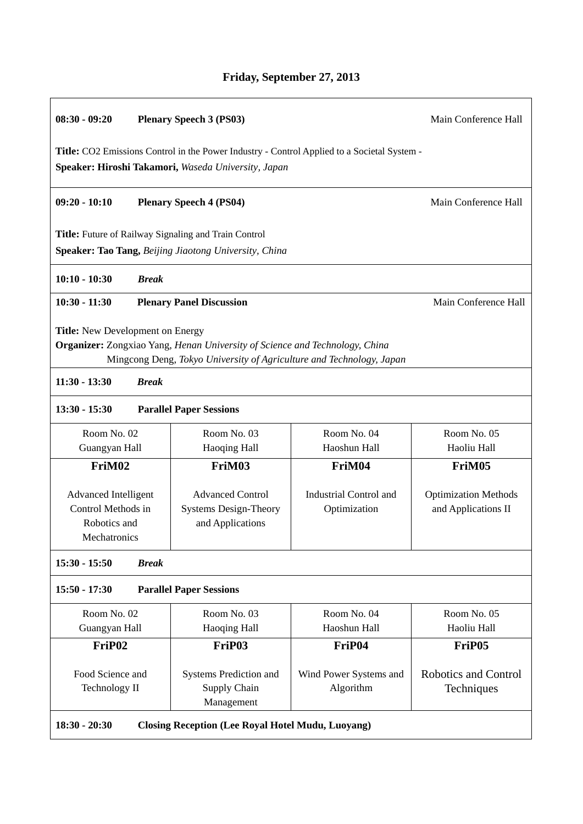| $08:30 - 09:20$<br><b>Plenary Speech 3 (PS03)</b>                                 |              |                                                                                                                                                     | Main Conference Hall                                                                        |                                                    |
|-----------------------------------------------------------------------------------|--------------|-----------------------------------------------------------------------------------------------------------------------------------------------------|---------------------------------------------------------------------------------------------|----------------------------------------------------|
|                                                                                   |              | Speaker: Hiroshi Takamori, Waseda University, Japan                                                                                                 | Title: CO2 Emissions Control in the Power Industry - Control Applied to a Societal System - |                                                    |
| $09:20 - 10:10$                                                                   |              | <b>Plenary Speech 4 (PS04)</b>                                                                                                                      |                                                                                             | Main Conference Hall                               |
|                                                                                   |              | Title: Future of Railway Signaling and Train Control<br>Speaker: Tao Tang, Beijing Jiaotong University, China                                       |                                                                                             |                                                    |
| $10:10 - 10:30$                                                                   | <b>Break</b> |                                                                                                                                                     |                                                                                             |                                                    |
| $10:30 - 11:30$                                                                   |              | <b>Plenary Panel Discussion</b>                                                                                                                     |                                                                                             | Main Conference Hall                               |
| Title: New Development on Energy<br>$11:30 - 13:30$                               | <b>Break</b> | Organizer: Zongxiao Yang, Henan University of Science and Technology, China<br>Mingcong Deng, Tokyo University of Agriculture and Technology, Japan |                                                                                             |                                                    |
| $13:30 - 15:30$                                                                   |              | <b>Parallel Paper Sessions</b>                                                                                                                      |                                                                                             |                                                    |
| Room No. 02<br>Guangyan Hall                                                      |              | Room No. 03<br>Haoqing Hall                                                                                                                         | Room No. 04<br>Haoshun Hall                                                                 | Room No. 05<br>Haoliu Hall                         |
| FriM02                                                                            |              | FriM03                                                                                                                                              | FriM04                                                                                      | FriM05                                             |
| <b>Advanced Intelligent</b><br>Control Methods in<br>Robotics and<br>Mechatronics |              | <b>Advanced Control</b><br><b>Systems Design-Theory</b><br>and Applications                                                                         | <b>Industrial Control and</b><br>Optimization                                               | <b>Optimization Methods</b><br>and Applications II |
| $15:30 - 15:50$                                                                   | <b>Break</b> |                                                                                                                                                     |                                                                                             |                                                    |
| $15:50 - 17:30$                                                                   |              | <b>Parallel Paper Sessions</b>                                                                                                                      |                                                                                             |                                                    |
| Room No. 02<br>Guangyan Hall                                                      |              | Room No. 03<br><b>Haoqing Hall</b>                                                                                                                  | Room No. 04<br>Haoshun Hall                                                                 | Room No. 05<br>Haoliu Hall                         |
| FriP <sub>02</sub>                                                                |              | FriP03                                                                                                                                              | FriP04                                                                                      | FriP <sub>05</sub>                                 |
| Food Science and<br>Technology II                                                 |              | Systems Prediction and<br>Supply Chain                                                                                                              | Wind Power Systems and<br>Algorithm                                                         | Robotics and Control<br>Techniques                 |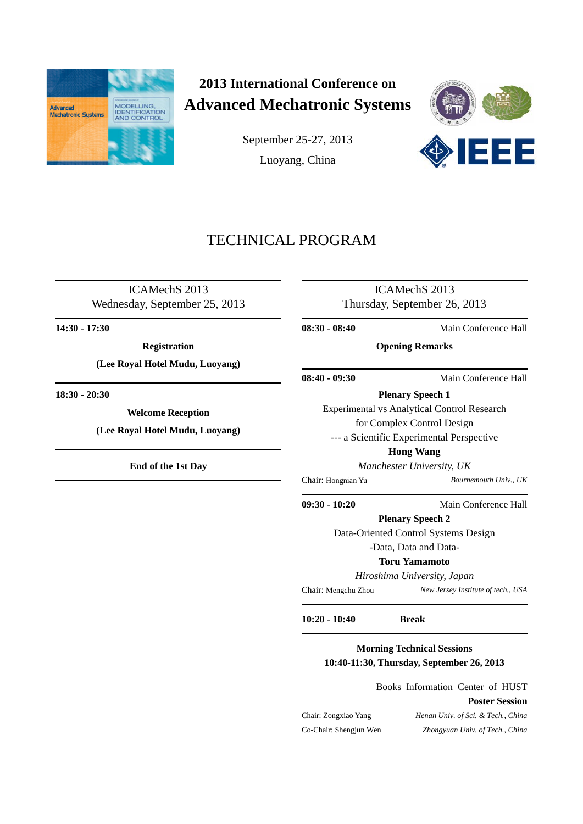

# **2013 International Conference on Advanced Mechatronic Systems**

September 25-27, 2013 Luoyang, China



# TECHNICAL PROGRAM

l,

l

 $\overline{a}$ 

 $\overline{a}$ 

ICAMechS 2013 Wednesday, September 25, 2013

**14:30 - 17:30**

 $\overline{a}$ 

 $\overline{a}$ 

֦

**Registration**

**(Lee Royal Hotel Mudu, Luoyang)**

**18:30 - 20:30**

**Welcome Reception**

**(Lee Royal Hotel Mudu, Luoyang)**

**End of the 1st Day**

ICAMechS 2013 Thursday, September 26, 2013

**08:30 - 08:40** Main Conference Hall

**Opening Remarks**

**08:40 - 09:30** Main Conference Hall

<span id="page-3-0"></span>**Plenary Speech 1** [Experimental](#page-3-0) vs Analytical Control Research

for Complex Control Design

--- a Scientific Experimental Perspective

**Hong Wang**

*Manchester University, UK*

Chair: Hongnian Yu *Bournemouth Univ., UK*

**09:30 - 10:20** Main Conference Hall

**Plenary Speech 2**

Data-Oriented Control Systems Design

-Data, Data and Data-

**Toru Yamamoto**

*Hiroshima University, Japan*

Chair: Mengchu Zhou *New Jersey Institute of tech., USA* l,

**10:20 - 10:40 Break** .

**Morning Technical Sessions 10:40-11:30, Thursday, September 26, 2013**

Books Information Center of HUST

Chair: Zongxiao Yang *Henan Univ. of Sci. & Tech., China* Co-Chair: Shengjun Wen *Zhongyuan Univ. of Tech., China*

**Poster Session**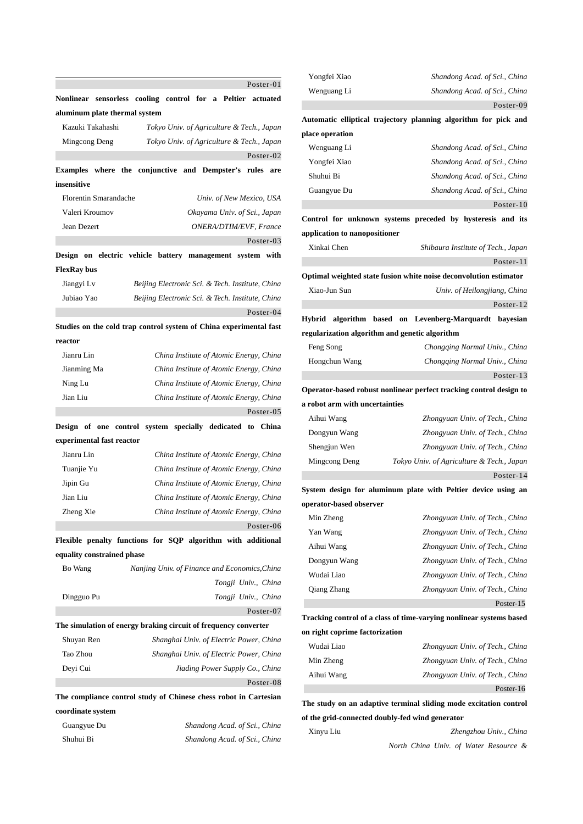|                               | Poster-01                                                          |
|-------------------------------|--------------------------------------------------------------------|
|                               | Nonlinear sensorless cooling control for a Peltier<br>actuated     |
| aluminum plate thermal system |                                                                    |
| Kazuki Takahashi              | Tokyo Univ. of Agriculture & Tech., Japan                          |
| Mingcong Deng                 | Tokyo Univ. of Agriculture & Tech., Japan                          |
|                               | Poster-02                                                          |
|                               | Examples where the conjunctive and Dempster's<br>rules are         |
| insensitive                   |                                                                    |
| Florentin Smarandache         | Univ. of New Mexico, USA                                           |
| Valeri Kroumov                | Okayama Univ. of Sci., Japan                                       |
| Jean Dezert                   | ONERA/DTIM/EVF, France                                             |
|                               | Poster-03                                                          |
|                               | Design on electric vehicle battery management system with          |
| <b>FlexRay bus</b>            |                                                                    |
| Jiangyi Lv                    | Beijing Electronic Sci. & Tech. Institute, China                   |
| Jubiao Yao                    | Beijing Electronic Sci. & Tech. Institute, China                   |
|                               | $Poster-04$                                                        |
|                               | Studies on the cold trap control system of China experimental fast |
| reactor                       |                                                                    |
| Jianru Lin                    | China Institute of Atomic Energy, China                            |
| Jianming Ma                   | China Institute of Atomic Energy, China                            |
| Ning Lu                       | China Institute of Atomic Energy, China                            |
| Jian Liu                      | China Institute of Atomic Energy, China                            |
|                               | Poster-05                                                          |
| Design of one control         | system specially dedicated to China                                |
| experimental fast reactor     |                                                                    |
| Jianru Lin                    | China Institute of Atomic Energy, China                            |
| Tuanjie Yu                    | China Institute of Atomic Energy, China                            |
| Jipin Gu                      | China Institute of Atomic Energy, China                            |
| Jian Liu                      | China Institute of Atomic Energy, China                            |
| Zheng Xie                     | China Institute of Atomic Energy, China                            |
|                               | Poster-06                                                          |
|                               | Flexible penalty functions for SQP algorithm with additional       |
| equality constrained phase    |                                                                    |
| Bo Wang                       | Nanjing Univ. of Finance and Economics, China                      |
|                               | Tongji Univ., China                                                |
| Dingguo Pu                    | Tongji Univ., China                                                |
|                               | Poster-07                                                          |
|                               | The simulation of energy braking circuit of frequency converter    |
| Shuyan Ren                    | Shanghai Univ. of Electric Power, China                            |
| Tao Zhou                      | Shanghai Univ. of Electric Power, China                            |
| Deyi Cui                      | Jiading Power Supply Co., China                                    |
|                               |                                                                    |
|                               | Poster-08                                                          |
|                               | The compliance control study of Chinese chess robot in Cartesian   |
| coordinate system             |                                                                    |
| Guangyue Du                   | Shandong Acad. of Sci., China                                      |

| Yongfei Xiao                                    | Shandong Acad. of Sci., China                                       |
|-------------------------------------------------|---------------------------------------------------------------------|
| Wenguang Li                                     | Shandong Acad. of Sci., China                                       |
|                                                 | Poster-09                                                           |
|                                                 | Automatic elliptical trajectory planning algorithm for pick and     |
| place operation                                 |                                                                     |
| Wenguang Li                                     | Shandong Acad. of Sci., China                                       |
| Yongfei Xiao                                    | Shandong Acad. of Sci., China                                       |
| Shuhui Bi                                       | Shandong Acad. of Sci., China                                       |
| Guangyue Du                                     | Shandong Acad. of Sci., China                                       |
|                                                 | Poster-10                                                           |
|                                                 | Control for unknown systems preceded by hysteresis and its          |
| application to nanopositioner                   |                                                                     |
| Xinkai Chen                                     | Shibaura Institute of Tech., Japan                                  |
|                                                 | Poster-11                                                           |
|                                                 | Optimal weighted state fusion white noise deconvolution estimator   |
| Xiao-Jun Sun                                    | Univ. of Heilongjiang, China                                        |
|                                                 | Poster-12                                                           |
| <b>Hybrid</b>                                   | algorithm based on Levenberg-Marquardt<br>bayesian                  |
| regularization algorithm and genetic algorithm  |                                                                     |
| Feng Song                                       | Chongqing Normal Univ., China                                       |
| Hongchun Wang                                   | Chongqing Normal Univ., China                                       |
|                                                 | Poster-13                                                           |
|                                                 | Operator-based robust nonlinear perfect tracking control design to  |
| a robot arm with uncertainties                  |                                                                     |
| Aihui Wang                                      | Zhongyuan Univ. of Tech., China                                     |
| Dongyun Wang                                    | Zhongyuan Univ. of Tech., China                                     |
| Shengjun Wen                                    | Zhongyuan Univ. of Tech., China                                     |
| Mingcong Deng                                   | Tokyo Univ. of Agriculture & Tech., Japan                           |
|                                                 | Poster-14                                                           |
|                                                 | System design for aluminum plate with Peltier device using an       |
| operator-based observer                         |                                                                     |
| Min Zheng                                       | Zhongyuan Univ. of Tech., China                                     |
| Yan Wang                                        | Zhongyuan Univ. of Tech., China                                     |
| Aihui Wang                                      | Zhongyuan Univ. of Tech., China                                     |
| Dongyun Wang                                    | Zhongyuan Univ. of Tech., China                                     |
| Wudai Liao                                      | Zhongyuan Univ. of Tech., China                                     |
| Qiang Zhang                                     | Zhongyuan Univ. of Tech., China                                     |
|                                                 | Poster-15                                                           |
|                                                 | Tracking control of a class of time-varying nonlinear systems based |
| on right coprime factorization                  |                                                                     |
| Wudai Liao                                      | Zhongyuan Univ. of Tech., China                                     |
| Min Zheng                                       | Zhongyuan Univ. of Tech., China                                     |
| Aihui Wang                                      | Zhongyuan Univ. of Tech., China                                     |
|                                                 | Poster-16                                                           |
|                                                 |                                                                     |
|                                                 | The study on an adaptive terminal sliding mode excitation control   |
| of the grid-connected doubly-fed wind generator |                                                                     |
| Xinyu Liu                                       | Zhengzhou Univ., China                                              |
|                                                 | North China Univ. of Water Resource &                               |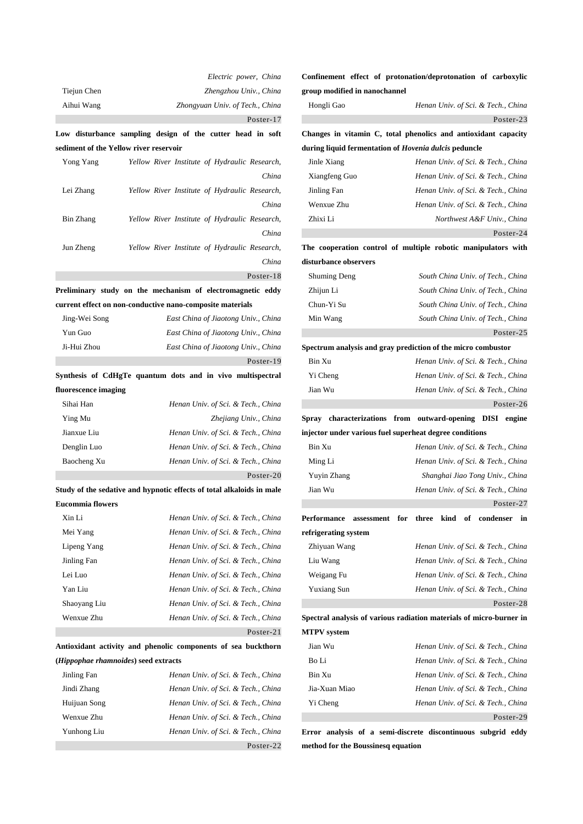|                                               | Electric power, China                                                 |
|-----------------------------------------------|-----------------------------------------------------------------------|
| Tiejun Chen                                   | Zhengzhou Univ., China                                                |
| Aihui Wang                                    | Zhongyuan Univ. of Tech., China                                       |
|                                               | Poster-17                                                             |
|                                               | Low disturbance sampling design of the cutter head in soft            |
| sediment of the Yellow river reservoir        |                                                                       |
| Yong Yang                                     | Yellow River Institute of Hydraulic Research,                         |
|                                               | China                                                                 |
| Lei Zhang                                     | Yellow River Institute of Hydraulic Research,                         |
|                                               | China                                                                 |
| Bin Zhang                                     | Yellow River Institute of Hydraulic Research,                         |
|                                               | China                                                                 |
| Jun Zheng                                     | Yellow River Institute of Hydraulic Research,                         |
|                                               | China                                                                 |
|                                               | Poster-18                                                             |
|                                               | Preliminary study on the mechanism of electromagnetic eddy            |
|                                               | current effect on non-conductive nano-composite materials             |
| Jing-Wei Song                                 | East China of Jiaotong Univ., China                                   |
| Yun Guo                                       | East China of Jiaotong Univ., China                                   |
| Ji-Hui Zhou                                   | East China of Jiaotong Univ., China                                   |
|                                               | Poster-19                                                             |
|                                               | Synthesis of CdHgTe quantum dots and in vivo multispectral            |
| fluorescence imaging                          |                                                                       |
|                                               |                                                                       |
| Sihai Han                                     | Henan Univ. of Sci. & Tech., China                                    |
| Ying Mu                                       | Zhejiang Univ., China                                                 |
| Jianxue Liu                                   | Henan Univ. of Sci. & Tech., China                                    |
| Denglin Luo                                   | Henan Univ. of Sci. & Tech., China                                    |
| Baocheng Xu                                   | Henan Univ. of Sci. & Tech., China                                    |
|                                               | Poster-20                                                             |
|                                               | Study of the sedative and hypnotic effects of total alkaloids in male |
| <b>Eucommia flowers</b>                       |                                                                       |
| Xin Li                                        | Henan Univ. of Sci. & Tech., China                                    |
| Mei Yang                                      | Henan Univ. of Sci. & Tech., China                                    |
| Lipeng Yang                                   | Henan Univ. of Sci. & Tech., China                                    |
| Jinling Fan                                   | Henan Univ. of Sci. & Tech., China                                    |
| Lei Luo                                       | Henan Univ. of Sci. & Tech., China                                    |
| Yan Liu                                       | Henan Univ. of Sci. & Tech., China                                    |
| Shaoyang Liu                                  | Henan Univ. of Sci. & Tech., China                                    |
| Wenxue Zhu                                    | Henan Univ. of Sci. & Tech., China                                    |
|                                               | Poster- $21$                                                          |
|                                               | Antioxidant activity and phenolic components of sea buckthorn         |
| ( <i>Hippophae rhamnoides</i> ) seed extracts |                                                                       |
| Jinling Fan                                   | Henan Univ. of Sci. & Tech., China                                    |
| Jindi Zhang                                   | Henan Univ. of Sci. & Tech., China                                    |
| Huijuan Song                                  | Henan Univ. of Sci. & Tech., China                                    |

Yunhong Liu *Henan Univ. of Sci. & Tech., China*

Poster-22

## **Confinement effect of protonation/deprotonation of carboxylic group modified in nanochannel**

| Hongli Gao                                                   | Henan Univ. of Sci. & Tech., China                             |
|--------------------------------------------------------------|----------------------------------------------------------------|
|                                                              | Poster-23                                                      |
|                                                              | Changes in vitamin C, total phenolics and antioxidant capacity |
| during liquid fermentation of <i>Hovenia dulcis</i> peduncle |                                                                |
| Jinle Xiang                                                  | Henan Univ. of Sci. & Tech., China                             |
| Xiangfeng Guo                                                | Henan Univ. of Sci. & Tech., China                             |
| Jinling Fan                                                  | Henan Univ. of Sci. & Tech., China                             |
| Wenxue Zhu                                                   | Henan Univ. of Sci. & Tech., China                             |
| Zhixi Li                                                     | Northwest A&F Univ., China                                     |
|                                                              | Poster-24                                                      |
|                                                              | The cooperation control of multiple robotic manipulators with  |
| disturbance observers                                        |                                                                |
| <b>Shuming Deng</b>                                          | South China Univ. of Tech., China                              |
| Zhijun Li                                                    | South China Univ. of Tech., China                              |
| Chun-Yi Su                                                   | South China Univ. of Tech., China                              |
| Min Wang                                                     | South China Univ. of Tech., China                              |
|                                                              | Poster-25                                                      |
|                                                              | Spectrum analysis and gray prediction of the micro combustor   |
| Bin Xu                                                       | Henan Univ. of Sci. & Tech., China                             |
| Yi Cheng                                                     | Henan Univ. of Sci. & Tech., China                             |
| Jian Wu                                                      | Henan Univ. of Sci. & Tech., China                             |
|                                                              | Poster-26                                                      |
| characterizations from outward-opening<br>Spray              | <b>DISI</b><br>engine                                          |
| injector under various fuel superheat degree conditions      |                                                                |
| Bin Xu                                                       | Henan Univ. of Sci. & Tech., China                             |
| Ming Li                                                      | Henan Univ. of Sci. & Tech., China                             |
| Yuyin Zhang                                                  | Shanghai Jiao Tong Univ., China                                |
| Jian Wu                                                      | Henan Univ. of Sci. & Tech., China                             |
|                                                              | Poster-27                                                      |
| Performance<br>for<br>assessment                             | three<br>kind<br>of<br>condenser<br>in                         |
| refrigerating system                                         |                                                                |
| Zhiyuan Wang                                                 | Henan Univ. of Sci. & Tech., China                             |
| Liu Wang                                                     | Henan Univ. of Sci. & Tech., China                             |
| Weigang Fu                                                   | Henan Univ. of Sci. & Tech., China                             |
| <b>Yuxiang Sun</b>                                           | Henan Univ. of Sci. & Tech., China                             |
|                                                              | Poster-28                                                      |

## **Spectral analysis of various radiation materials of micro-burner in MTPV system**

| Jian Wu       | Henan Univ. of Sci. & Tech., China |
|---------------|------------------------------------|
| Bo Li         | Henan Univ. of Sci. & Tech., China |
| Bin Xu        | Henan Univ. of Sci. & Tech., China |
| Jia-Xuan Miao | Henan Univ. of Sci. & Tech., China |
| Yi Cheng      | Henan Univ. of Sci. & Tech., China |
|               | Poster-29                          |

**Error analysis of a semi-discrete discontinuous subgrid eddy method for the Boussinesq equation**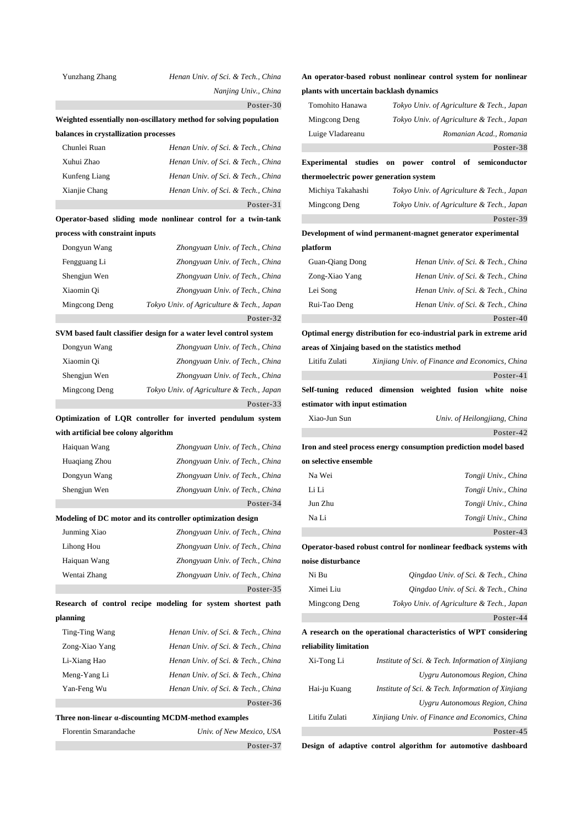| Yunzhang Zhang                        | Henan Univ. of Sci. & Tech., China                                 |                                 | An operator-based robust nonlinear control system for nonlinear     |
|---------------------------------------|--------------------------------------------------------------------|---------------------------------|---------------------------------------------------------------------|
|                                       | Nanjing Univ., China                                               |                                 | plants with uncertain backlash dynamics                             |
|                                       | Poster-30                                                          | Tomohito Hanawa                 | Tokyo Univ. of Agriculture & Tech., Japan                           |
|                                       | Weighted essentially non-oscillatory method for solving population | Mingcong Deng                   | Tokyo Univ. of Agriculture & Tech., Japan                           |
| balances in crystallization processes |                                                                    | Luige Vladareanu                | Romanian Acad., Romania                                             |
| Chunlei Ruan                          | Henan Univ. of Sci. & Tech., China                                 |                                 | Poster-38                                                           |
| Xuhui Zhao                            | Henan Univ. of Sci. & Tech., China                                 |                                 | Experimental studies on power control of semiconductor              |
| Kunfeng Liang                         | Henan Univ. of Sci. & Tech., China                                 |                                 | thermoelectric power generation system                              |
| Xianjie Chang                         | Henan Univ. of Sci. & Tech., China                                 | Michiya Takahashi               | Tokyo Univ. of Agriculture & Tech., Japan                           |
|                                       | Poster-31                                                          | Mingcong Deng                   | Tokyo Univ. of Agriculture & Tech., Japan                           |
|                                       | Operator-based sliding mode nonlinear control for a twin-tank      |                                 | Poster-39                                                           |
| process with constraint inputs        |                                                                    |                                 | Development of wind permanent-magnet generator experimental         |
| Dongyun Wang                          | Zhongyuan Univ. of Tech., China                                    | platform                        |                                                                     |
| Fengguang Li                          | Zhongyuan Univ. of Tech., China                                    | Guan-Qiang Dong                 | Henan Univ. of Sci. & Tech., China                                  |
| Shengjun Wen                          | Zhongyuan Univ. of Tech., China                                    | Zong-Xiao Yang                  | Henan Univ. of Sci. & Tech., China                                  |
| Xiaomin Qi                            | Zhongyuan Univ. of Tech., China                                    | Lei Song                        | Henan Univ. of Sci. & Tech., China                                  |
| Mingcong Deng                         | Tokyo Univ. of Agriculture & Tech., Japan                          | Rui-Tao Deng                    | Henan Univ. of Sci. & Tech., China                                  |
|                                       | Poster-32                                                          |                                 | Poster-40                                                           |
|                                       | SVM based fault classifier design for a water level control system |                                 | Optimal energy distribution for eco-industrial park in extreme arid |
| Dongyun Wang                          | Zhongyuan Univ. of Tech., China                                    |                                 | areas of Xinjaing based on the statistics method                    |
| Xiaomin Qi                            | Zhongyuan Univ. of Tech., China                                    | Litifu Zulati                   | Xinjiang Univ. of Finance and Economics, China                      |
| Shengjun Wen                          | Zhongyuan Univ. of Tech., China                                    |                                 | Poster-41                                                           |
| Mingcong Deng                         | Tokyo Univ. of Agriculture & Tech., Japan                          |                                 | Self-tuning reduced dimension weighted fusion white noise           |
|                                       | Poster-33                                                          | estimator with input estimation |                                                                     |
|                                       | Optimization of LQR controller for inverted pendulum system        | Xiao-Jun Sun                    | Univ. of Heilongjiang, China                                        |
| with artificial bee colony algorithm  |                                                                    |                                 | Poster-42                                                           |
| Haiquan Wang                          | Zhongyuan Univ. of Tech., China                                    |                                 | Iron and steel process energy consumption prediction model based    |
| Huaqiang Zhou                         | Zhongyuan Univ. of Tech., China                                    | on selective ensemble           |                                                                     |
| Dongyun Wang                          | Zhongyuan Univ. of Tech., China                                    | Na Wei                          | Tongji Univ., China                                                 |
| Shengjun Wen                          | Zhongyuan Univ. of Tech., China                                    | Li Li                           | Tongji Univ., China                                                 |
|                                       | Poster-34                                                          | Jun Zhu                         | Tongji Univ., China                                                 |
|                                       | Modeling of DC motor and its controller optimization design        | Na Li                           | Tongji Univ., China                                                 |
| Junming Xiao                          | Zhongyuan Univ. of Tech., China                                    |                                 | Poster-43                                                           |
| Lihong Hou                            | Zhongyuan Univ. of Tech., China                                    |                                 | Operator-based robust control for nonlinear feedback systems with   |
| Haiquan Wang                          | Zhongyuan Univ. of Tech., China                                    | noise disturbance               |                                                                     |
| Wentai Zhang                          | Zhongyuan Univ. of Tech., China                                    | Ni Bu                           | Qingdao Univ. of Sci. & Tech., China                                |
|                                       | Poster-35                                                          | Ximei Liu                       | Qingdao Univ. of Sci. & Tech., China                                |
|                                       | Research of control recipe modeling for system shortest path       | Mingcong Deng                   | Tokyo Univ. of Agriculture & Tech., Japan                           |
| planning                              |                                                                    |                                 | Poster-44                                                           |
| Ting-Ting Wang                        | Henan Univ. of Sci. & Tech., China                                 |                                 | A research on the operational characteristics of WPT considering    |
| Zong-Xiao Yang                        | Henan Univ. of Sci. & Tech., China                                 | reliability limitation          |                                                                     |
| Li-Xiang Hao                          | Henan Univ. of Sci. & Tech., China                                 | Xi-Tong Li                      | Institute of Sci. & Tech. Information of Xinjiang                   |
| Meng-Yang Li                          | Henan Univ. of Sci. & Tech., China                                 |                                 | Uygru Autonomous Region, China                                      |
| Yan-Feng Wu                           | Henan Univ. of Sci. & Tech., China                                 | Hai-ju Kuang                    | Institute of Sci. & Tech. Information of Xinjiang                   |
|                                       | Poster-36                                                          |                                 | Uygru Autonomous Region, China                                      |
|                                       | Three non-linear a-discounting MCDM-method examples                | Litifu Zulati                   | Xinjiang Univ. of Finance and Economics, China                      |
| Florentin Smarandache                 | Univ. of New Mexico, USA                                           |                                 | Poster-45                                                           |
|                                       | Poster-37                                                          |                                 | Design of adaptive control algorithm for automotive dashboard       |
|                                       |                                                                    |                                 |                                                                     |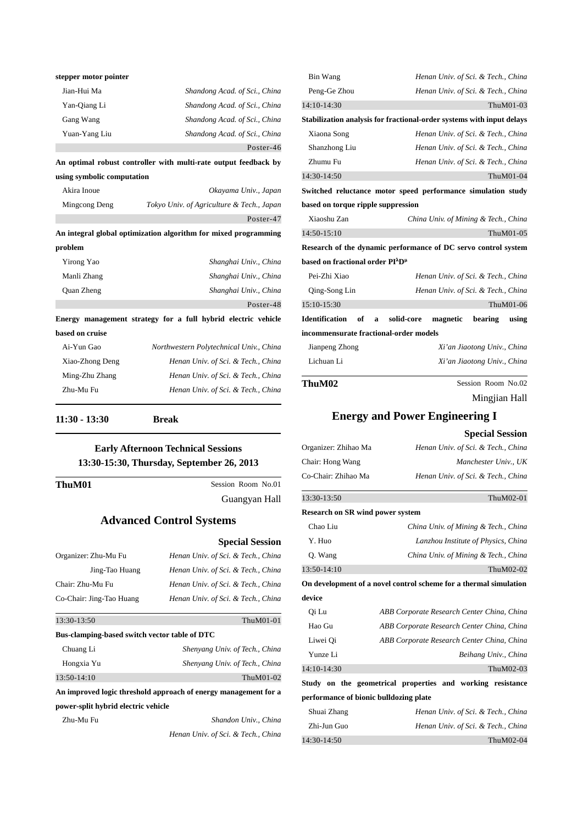| stepper motor pointer      |                                                                 |
|----------------------------|-----------------------------------------------------------------|
| Jian-Hui Ma                | Shandong Acad. of Sci., China                                   |
| Yan-Qiang Li               | Shandong Acad. of Sci., China                                   |
| Gang Wang                  | Shandong Acad. of Sci., China                                   |
| Yuan-Yang Liu              | Shandong Acad. of Sci., China                                   |
|                            | Poster-46                                                       |
|                            | An optimal robust controller with multi-rate output feedback by |
| using symbolic computation |                                                                 |
| Akira Inoue                | Okayama Univ., Japan                                            |

| Mingcong Deng     | Tokyo Univ. of Agriculture & Tech., Japan                       |
|-------------------|-----------------------------------------------------------------|
|                   | Poster-47                                                       |
|                   | An integral global optimization algorithm for mixed programming |
| problem           |                                                                 |
| Yirong Yao        | Shanghai Univ., China                                           |
| Manli Zhang       | Shanghai Univ., China                                           |
| <b>Ouan Zheng</b> | Shanghai Univ., China                                           |

**Energy management strategy for a full hybrid electric vehicle** 

| Ai-Yun Gao      | Northwestern Polytechnical Univ., China |
|-----------------|-----------------------------------------|
| Xiao-Zhong Deng | Henan Univ. of Sci. & Tech., China      |
| Ming-Zhu Zhang  | Henan Univ. of Sci. & Tech., China      |
| Zhu-Mu Fu       | Henan Univ. of Sci. & Tech., China      |
|                 |                                         |

**11:30 - 13:30 Break** 

**based on cruise**

## **Early Afternoon Technical Sessions 13:30-15:30, Thursday, September 26, 2013**

 $\overline{a}$ 

**ThuM01** Session Room No.01 Guangyan Hall

 $\overline{a}$ 

Poster-48

### **Advanced Control Systems**

|                                               | <b>Special Session</b>             |
|-----------------------------------------------|------------------------------------|
| Organizer: Zhu-Mu Fu                          | Henan Univ. of Sci. & Tech., China |
| Jing-Tao Huang                                | Henan Univ. of Sci. & Tech., China |
| Chair: Zhu-Mu Fu                              | Henan Univ. of Sci. & Tech., China |
| Co-Chair: Jing-Tao Huang                      | Henan Univ. of Sci. & Tech., China |
| 13:30-13:50                                   | ThuM01-01                          |
| Bus-clamping-based switch vector table of DTC |                                    |
|                                               |                                    |
| Chuang Li                                     | Shenyang Univ. of Tech., China     |
| Hongxia Yu                                    | Shenyang Univ. of Tech., China     |
| 13:50-14:10                                   | ThuM01-02                          |

**An improved logic threshold approach of energy management for a power-split hybrid electric vehicle**

Zhu-Mu Fu *Shandon Univ., China Henan Univ. of Sci. & Tech., China*

| Bin Wang                                                 | Henan Univ. of Sci. & Tech., China                                    |
|----------------------------------------------------------|-----------------------------------------------------------------------|
| Peng-Ge Zhou                                             | Henan Univ. of Sci. & Tech., China                                    |
| 14:10-14:30                                              | ThuM01-03                                                             |
|                                                          | Stabilization analysis for fractional-order systems with input delays |
| Xiaona Song                                              | Henan Univ. of Sci. & Tech., China                                    |
| Shanzhong Liu                                            | Henan Univ. of Sci. & Tech., China                                    |
| Zhumu Fu                                                 | Henan Univ. of Sci. & Tech., China                                    |
| 14:30-14:50                                              | ThuM01-04                                                             |
|                                                          | Switched reluctance motor speed performance simulation study          |
| based on torque ripple suppression                       |                                                                       |
| Xiaoshu Zan                                              | China Univ. of Mining & Tech., China                                  |
| 14:50-15:10                                              | ThuM01-05                                                             |
|                                                          | Research of the dynamic performance of DC servo control system        |
| based on fractional order PI <sup>A</sup> D <sup>µ</sup> |                                                                       |
| Pei-Zhi Xiao                                             | Henan Univ. of Sci. & Tech., China                                    |
| Qing-Song Lin                                            | Henan Univ. of Sci. & Tech., China                                    |
| 15:10-15:30                                              | ThuM01-06                                                             |
| <b>Identification</b><br>of<br>a                         | solid-core<br>magnetic<br>bearing<br>using                            |
| incommensurate fractional-order models                   |                                                                       |
| Jianpeng Zhong                                           | Xi'an Jiaotong Univ., China                                           |
| Lichuan Li                                               | Xi'an Jiaotong Univ., China                                           |
| ThuM02                                                   | Session Room No.02                                                    |
|                                                          | Mingjian Hall                                                         |

# **Energy and Power Engineering I Special Session** Organizer: Zhihao Ma *Henan Univ. of Sci. & Tech., China* Chair: Hong Wang *Manchester Univ., UK* Co-Chair: Zhihao Ma *Henan Univ. of Sci. & Tech., China* 13:30-13:50ThuM02-01 **Research on SR wind power system** Chao Liu *China Univ. of Mining & Tech., China* Y. Huo *Lanzhou Institute of Physics, China* Q. Wang *China Univ. of Mining & Tech., China* 13:50-14:10 ThuM02-02 **On development of a novel control scheme for a thermal simulation device** Qi Lu *ABB Corporate Research Center China, China* Hao Gu *ABB Corporate Research Center China, China* Liwei Qi *ABB Corporate Research Center China, China* Yunze Li *Beihang Univ., China* 14:10-14:30 ThuM02-03 **Study on the geometrical properties and working resistance performance of bionic bulldozing plate** Shuai Zhang *Henan Univ. of Sci. & Tech., China* Zhi-Jun Guo *Henan Univ. of Sci. & Tech., China* 14:30-14:50 ThuM02-04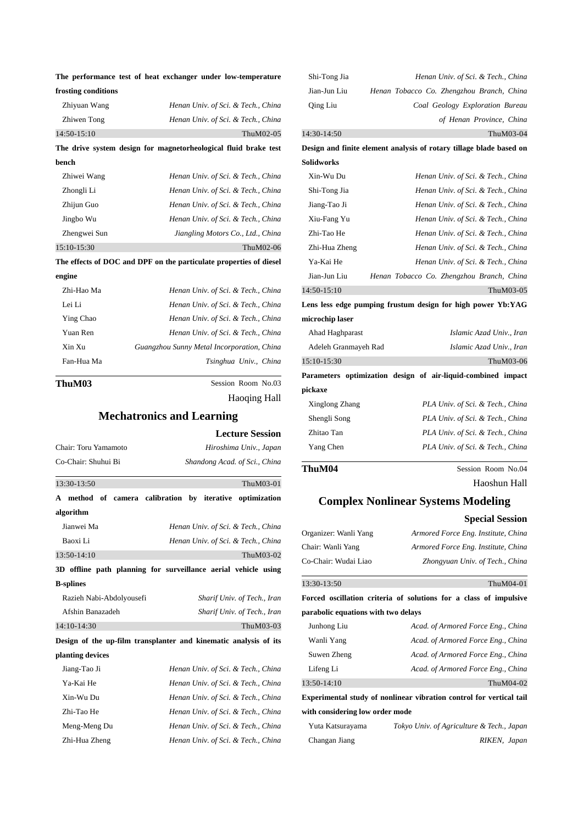|                     | The performance test of heat exchanger under low-temperature       |
|---------------------|--------------------------------------------------------------------|
| frosting conditions |                                                                    |
| Zhiyuan Wang        | Henan Univ. of Sci. & Tech., China                                 |
| Zhiwen Tong         | Henan Univ. of Sci. & Tech., China                                 |
| 14:50-15:10         | ThuM02-05                                                          |
|                     | The drive system design for magnetorheological fluid brake test    |
| bench               |                                                                    |
| Zhiwei Wang         | Henan Univ. of Sci. & Tech., China                                 |
| Zhongli Li          | Henan Univ. of Sci. & Tech., China                                 |
| Zhijun Guo          | Henan Univ. of Sci. & Tech., China                                 |
| Jingbo Wu           | Henan Univ. of Sci. & Tech., China                                 |
| Zhengwei Sun        | Jiangling Motors Co., Ltd., China                                  |
| 15:10-15:30         | ThuM02-06                                                          |
|                     | The effects of DOC and DPF on the particulate properties of diesel |
| engine              |                                                                    |
| Zhi-Hao Ma          | Henan Univ. of Sci. & Tech., China                                 |
| Lei Li              | Henan Univ. of Sci. & Tech., China                                 |
| Ying Chao           | Henan Univ. of Sci. & Tech., China                                 |
| Yuan Ren            | Henan Univ. of Sci. & Tech., China                                 |
| Xin Xu              | Guangzhou Sunny Metal Incorporation, China                         |
| Fan-Hua Ma          | Tsinghua Univ., China                                              |
| ThuM03              | Session Room No.03                                                 |
|                     | Haoging Hall                                                       |
|                     | Mechatronics and Learning                                          |

**Mechatronics and Learning**

|                                                                  | <b>Lecture Session</b>             |  |  |
|------------------------------------------------------------------|------------------------------------|--|--|
| Chair: Toru Yamamoto                                             | Hiroshima Univ., Japan             |  |  |
| Co-Chair: Shuhui Bi                                              | Shandong Acad. of Sci., China      |  |  |
| 13:30-13:50                                                      | ThuM03-01                          |  |  |
| A method of camera calibration by iterative optimization         |                                    |  |  |
| algorithm                                                        |                                    |  |  |
| Jianwei Ma                                                       | Henan Univ. of Sci. & Tech., China |  |  |
| Baoxi Li                                                         | Henan Univ. of Sci. & Tech., China |  |  |
| 13:50-14:10                                                      | ThuM03-02                          |  |  |
| 3D offline path planning for surveillance aerial vehicle using   |                                    |  |  |
| <b>B</b> -splines                                                |                                    |  |  |
| Razieh Nabi-Abdolyousefi                                         | Sharif Univ. of Tech., Iran        |  |  |
| Afshin Banazadeh                                                 | Sharif Univ. of Tech., Iran        |  |  |
| 14:10-14:30                                                      | ThuM03-03                          |  |  |
| Design of the up-film transplanter and kinematic analysis of its |                                    |  |  |
| planting devices                                                 |                                    |  |  |

| Jiang-Tao Ji  | Henan Univ. of Sci. & Tech., China |
|---------------|------------------------------------|
| Ya-Kai He     | Henan Univ. of Sci. & Tech., China |
| Xin-Wu Du     | Henan Univ. of Sci. & Tech., China |
| Zhi-Tao He    | Henan Univ. of Sci. & Tech., China |
| Meng-Meng Du  | Henan Univ. of Sci. & Tech., China |
| Zhi-Hua Zheng | Henan Univ. of Sci. & Tech., China |

| Shi-Tong Jia         | Henan Univ. of Sci. & Tech., China                                  |
|----------------------|---------------------------------------------------------------------|
| Jian-Jun Liu         | Henan Tobacco Co. Zhengzhou Branch, China                           |
| Qing Liu             | Coal Geology Exploration Bureau                                     |
|                      | of Henan Province, China                                            |
| 14:30-14:50          | ThuM03-04                                                           |
|                      | Design and finite element analysis of rotary tillage blade based on |
| Solidworks           |                                                                     |
| Xin-Wu Du            | Henan Univ. of Sci. & Tech., China                                  |
| Shi-Tong Jia         | Henan Univ. of Sci. & Tech., China                                  |
| Jiang-Tao Ji         | Henan Univ. of Sci. & Tech., China                                  |
| Xiu-Fang Yu          | Henan Univ. of Sci. & Tech., China                                  |
| Zhi-Tao He           | Henan Univ. of Sci. & Tech., China                                  |
| Zhi-Hua Zheng        | Henan Univ. of Sci. & Tech., China                                  |
| Ya-Kai He            | Henan Univ. of Sci. & Tech., China                                  |
| Jian-Jun Liu         | Henan Tobacco Co. Zhengzhou Branch, China                           |
| 14:50-15:10          | ThuM03-05                                                           |
|                      | Lens less edge pumping frustum design for high power Yb:YAG         |
| microchip laser      |                                                                     |
| Ahad Haghparast      | Islamic Azad Univ., Iran                                            |
| Adeleh Granmayeh Rad | Islamic Azad Univ., Iran                                            |
| 15:10-15:30          | ThuM03-06                                                           |
|                      | Parameters optimization design of air-liquid-combined impact        |
| pickaxe              |                                                                     |
| Xinglong Zhang       | PLA Univ. of Sci. & Tech., China                                    |
| Shengli Song         | PLA Univ. of Sci. & Tech., China                                    |
| Zhitao Tan           | PLA Univ. of Sci. & Tech., China                                    |
| Yang Chen            | PLA Univ. of Sci. & Tech., China                                    |
| ThuM04               | Session Room No.04                                                  |
|                      | Haoshun Hall                                                        |

## **Complex Nonlinear Systems Modeling**

|                                     | <b>Special Session</b>                                              |
|-------------------------------------|---------------------------------------------------------------------|
| Organizer: Wanli Yang               | Armored Force Eng. Institute, China                                 |
| Chair: Wanli Yang                   | Armored Force Eng. Institute, China                                 |
| Co-Chair: Wudai Liao                | Zhongyuan Univ. of Tech., China                                     |
| 13:30-13:50                         | ThuM04-01                                                           |
|                                     | Forced oscillation criteria of solutions for a class of impulsive   |
| parabolic equations with two delays |                                                                     |
| Junhong Liu                         | Acad. of Armored Force Eng., China                                  |
| Wanli Yang                          | Acad. of Armored Force Eng., China                                  |
| Suwen Zheng                         | Acad. of Armored Force Eng., China                                  |
| Lifeng Li                           | Acad. of Armored Force Eng., China                                  |
| 13:50-14:10                         | ThuM04-02                                                           |
|                                     | Experimental study of nonlinear vibration control for vertical tail |
| with considering low order mode     |                                                                     |
| Yuta Katsurayama                    | Tokyo Univ. of Agriculture & Tech., Japan                           |
| Changan Jiang                       | RIKEN, Japan                                                        |
|                                     |                                                                     |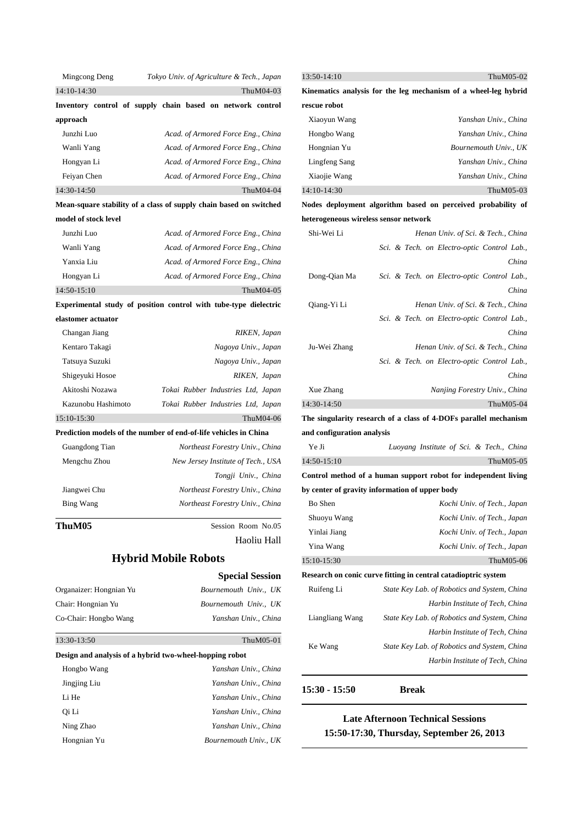| Mingcong Deng                                                      |                    |  |  | Tokyo Univ. of Agriculture & Tech., Japan |              |
|--------------------------------------------------------------------|--------------------|--|--|-------------------------------------------|--------------|
| 14:10-14:30                                                        |                    |  |  |                                           | ThuM04-03    |
| Inventory control of supply chain based on network control         |                    |  |  |                                           |              |
| approach                                                           |                    |  |  |                                           |              |
| Junzhi Luo                                                         |                    |  |  | Acad. of Armored Force Eng., China        |              |
| Wanli Yang                                                         |                    |  |  | Acad. of Armored Force Eng., China        |              |
| Hongyan Li                                                         |                    |  |  | Acad. of Armored Force Eng., China        |              |
| Feiyan Chen                                                        |                    |  |  | Acad. of Armored Force Eng., China        |              |
| 14:30-14:50                                                        |                    |  |  |                                           | ThuM04-04    |
| Mean-square stability of a class of supply chain based on switched |                    |  |  |                                           |              |
| model of stock level                                               |                    |  |  |                                           |              |
| Junzhi Luo                                                         |                    |  |  | Acad. of Armored Force Eng., China        |              |
| Wanli Yang                                                         |                    |  |  | Acad. of Armored Force Eng., China        |              |
| Yanxia Liu                                                         |                    |  |  | Acad. of Armored Force Eng., China        |              |
| Hongyan Li                                                         |                    |  |  | Acad. of Armored Force Eng., China        |              |
| 14:50-15:10                                                        |                    |  |  |                                           | ThuM04-05    |
| Experimental study of position control with tube-type dielectric   |                    |  |  |                                           |              |
| elastomer actuator                                                 |                    |  |  |                                           |              |
| Changan Jiang                                                      |                    |  |  |                                           | RIKEN, Japan |
| Kentaro Takagi                                                     |                    |  |  | Nagoya Univ., Japan                       |              |
| Tatsuya Suzuki                                                     |                    |  |  | Nagoya Univ., Japan                       |              |
| Shigeyuki Hosoe                                                    |                    |  |  |                                           | RIKEN, Japan |
| Akitoshi Nozawa                                                    |                    |  |  | Tokai Rubber Industries Ltd, Japan        |              |
|                                                                    | Kazunobu Hashimoto |  |  | Tokai Rubber Industries Ltd, Japan        |              |
| 15:10-15:30                                                        |                    |  |  |                                           | ThuM04-06    |
| Prediction models of the number of end-of-life vehicles in China   |                    |  |  |                                           |              |
| Guangdong Tian                                                     |                    |  |  | Northeast Forestry Univ., China           |              |
| Mengchu Zhou                                                       |                    |  |  | New Jersey Institute of Tech., USA        |              |

|              | Tongji Univ., China             |
|--------------|---------------------------------|
| Jiangwei Chu | Northeast Forestry Univ., China |
| Bing Wang    | Northeast Forestry Univ., China |

**ThuM05** Session Room No.05

 $\overline{a}$ 

Haoliu Hall

## **Hybrid Mobile Robots**

|                                                         | <b>Special Session</b> |
|---------------------------------------------------------|------------------------|
| Organaizer: Hongnian Yu                                 | Bournemouth Univ., UK  |
| Chair: Hongnian Yu                                      | Bournemouth Univ., UK  |
| Co-Chair: Hongbo Wang                                   | Yanshan Univ., China   |
| 13:30-13:50                                             | ThuM05-01              |
| Design and analysis of a hybrid two-wheel-hopping robot |                        |
| Hongbo Wang                                             | Yanshan Univ China     |
| Jingjing Liu                                            | Yanshan Univ., China   |
| Li He                                                   | Yanshan Univ., China   |
| 0i Li                                                   | Yanshan Univ., China   |
| Ning Zhao                                               | Yanshan Univ., China   |
| Hongnian Yu                                             | Bournemouth Univ., UK  |

## 13:50-14:10 ThuM05-02

**Kinematics analysis for the leg mechanism of a wheel-leg hybrid rescue robot**

| Xiaoyun Wang  | Yanshan Univ., China  |
|---------------|-----------------------|
| Hongbo Wang   | Yanshan Univ., China  |
| Hongnian Yu   | Bournemouth Univ., UK |
| Lingfeng Sang | Yanshan Univ China    |
| Xiaojie Wang  | Yanshan Univ., China  |
| 14:10-14:30   | ThuM05-03             |

## **Nodes deployment algorithm based on perceived probability of heterogeneous wireless sensor network**

| Shi-Wei Li   | Henan Univ. of Sci. & Tech., China          |
|--------------|---------------------------------------------|
|              | Sci. & Tech. on Electro-optic Control Lab., |
|              | China                                       |
| Dong-Qian Ma | Sci. & Tech. on Electro-optic Control Lab., |
|              | China                                       |
| Qiang-Yi Li  | Henan Univ. of Sci. & Tech., China          |
|              | Sci. & Tech. on Electro-optic Control Lab., |
|              | China                                       |
| Ju-Wei Zhang | Henan Univ. of Sci. & Tech., China          |
|              | Sci. & Tech. on Electro-optic Control Lab., |
|              | China                                       |
| Xue Zhang    | Nanjing Forestry Univ., China               |
| 14:30-14:50  | ThuM05-04                                   |

**The singularity research of a class of 4-DOFs parallel mechanism and configuration analysis**

| Ye Ji         | Luoyang Institute of Sci. & Tech., China |  |  |           |
|---------------|------------------------------------------|--|--|-----------|
| $14:50-15:10$ |                                          |  |  | ThuM05-05 |

**Control method of a human support robot for independent living by center of gravity information of upper body**

| Bo Shen         | Kochi Univ. of Tech., Japan                                    |
|-----------------|----------------------------------------------------------------|
| Shuoyu Wang     | Kochi Univ. of Tech., Japan                                    |
| Yinlai Jiang    | Kochi Univ. of Tech., Japan                                    |
| Yina Wang       | Kochi Univ. of Tech., Japan                                    |
| 15:10-15:30     | ThuM05-06                                                      |
|                 | Research on conic curve fitting in central catadioptric system |
| Ruifeng Li      | State Key Lab. of Robotics and System, China                   |
|                 | Harbin Institute of Tech, China                                |
| Liangliang Wang | State Key Lab. of Robotics and System, China                   |
|                 | Harbin Institute of Tech, China                                |
| Ke Wang         | State Key Lab. of Robotics and System, China                   |
|                 | Harbin Institute of Tech, China                                |
|                 |                                                                |

## **15:30 - 15:50 Break**

l,

## **Late Afternoon Technical Sessions 15:50-17:30, Thursday, September 26, <sup>2013</sup>**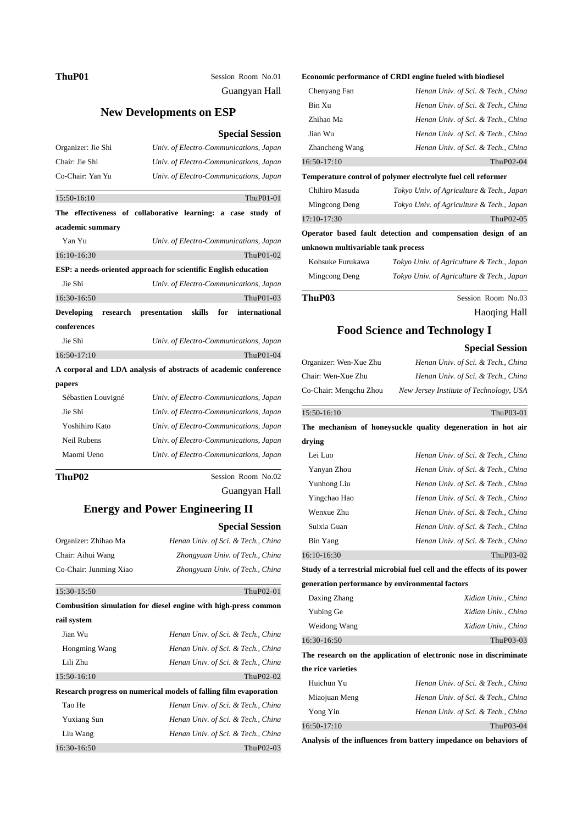ThuP01 Session Room No.01 Guangyan Hall

## **New Developments on ESP**

#### **Special Session**

| Organizer: Jie Shi            | Univ. of Electro-Communications, Japan                          |
|-------------------------------|-----------------------------------------------------------------|
| Chair: Jie Shi                | Univ. of Electro-Communications, Japan                          |
| Co-Chair: Yan Yu              | Univ. of Electro-Communications, Japan                          |
| 15:50-16:10                   | ThuP01-01                                                       |
|                               | The effectiveness of collaborative learning: a case study of    |
| academic summary              |                                                                 |
| Yan Yu                        | Univ. of Electro-Communications, Japan                          |
| 16:10-16:30                   | ThuP01-02                                                       |
|                               | ESP: a needs-oriented approach for scientific English education |
| Jie Shi                       | Univ. of Electro-Communications, Japan                          |
| 16:30-16:50                   | ThuP01-03                                                       |
| <b>Developing</b><br>research | skills<br>international<br>presentation<br>for                  |
| conferences                   |                                                                 |
| Jie Shi                       | Univ. of Electro-Communications, Japan                          |
| 16:50-17:10                   | ThuP01-04                                                       |
|                               | A corporal and LDA analysis of abstracts of academic conference |
| papers                        |                                                                 |
| Sébastien Louvigné            | Univ. of Electro-Communications, Japan                          |
| Jie Shi                       | Univ. of Electro-Communications, Japan                          |
| Yoshihiro Kato                | Univ. of Electro-Communications, Japan                          |
| <b>Neil Rubens</b>            | Univ. of Electro-Communications, Japan                          |
| Maomi Ueno                    | Univ. of Electro-Communications, Japan                          |
| ThuP02                        | Session Room No.02                                              |

Guangyan Hall

**Special Session**

## **Energy and Power Engineering II**

| Organizer: Zhihao Ma   | Henan Univ. of Sci. & Tech., China                                |
|------------------------|-------------------------------------------------------------------|
| Chair: Aihui Wang      | Zhongyuan Univ. of Tech., China                                   |
| Co-Chair: Junming Xiao | Zhongyuan Univ. of Tech., China                                   |
| 15:30-15:50            | ThuP02-01                                                         |
|                        | Combusition simulation for diesel engine with high-press common   |
| rail system            |                                                                   |
| Jian Wu                | Henan Univ. of Sci. & Tech., China                                |
| Hongming Wang          | Henan Univ. of Sci. & Tech., China                                |
| Lili Zhu               | Henan Univ. of Sci. & Tech., China                                |
| 15:50-16:10            | ThuP02-02                                                         |
|                        | Research progress on numerical models of falling film evaporation |
| Tao He                 | Henan Univ. of Sci. & Tech., China                                |
| <b>Yuxiang Sun</b>     | Henan Univ. of Sci. & Tech., China                                |
| Liu Wang               | Henan Univ. of Sci. & Tech., China                                |
| 16:30-16:50            | ThuP02-03                                                         |

#### **Economic performance of CRDI engine fueled with biodiesel**

| Chenyang Fan   | Henan Univ. of Sci. & Tech., China |
|----------------|------------------------------------|
| Bin Xu         | Henan Univ. of Sci. & Tech., China |
| Zhihao Ma      | Henan Univ. of Sci. & Tech., China |
| Jian Wu        | Henan Univ. of Sci. & Tech., China |
| Zhancheng Wang | Henan Univ. of Sci. & Tech., China |
| $16:50-17:10$  | ThuP02-04                          |

#### **Temperature control of polymer electrolyte fuel cell reformer**

| ThuP03                             | Session Room No.03                                           |
|------------------------------------|--------------------------------------------------------------|
| Mingcong Deng                      | Tokyo Univ. of Agriculture & Tech., Japan                    |
| Kohsuke Furukawa                   | Tokyo Univ. of Agriculture & Tech., Japan                    |
| unknown multivariable tank process |                                                              |
|                                    | Operator based fault detection and compensation design of an |
| $17:10-17:30$                      | ThuP02-05                                                    |
| Mingcong Deng                      | Tokyo Univ. of Agriculture & Tech., Japan                    |
| Chihiro Masuda                     | Tokyo Univ. of Agriculture & Tech., Japan                    |

Haoqing Hall

## **Food Science and Technology I**

|                                                 | <b>Special Session</b>                                                  |
|-------------------------------------------------|-------------------------------------------------------------------------|
| Organizer: Wen-Xue Zhu                          | Henan Univ. of Sci. & Tech., China                                      |
| Chair: Wen-Xue Zhu                              | Henan Univ. of Sci. & Tech., China                                      |
| Co-Chair: Mengchu Zhou                          | New Jersey Institute of Technology, USA                                 |
| 15:50-16:10                                     | ThuP03-01                                                               |
|                                                 | The mechanism of honeysuckle quality degeneration in hot air            |
| drying                                          |                                                                         |
| Lei Luo                                         | Henan Univ. of Sci. & Tech., China                                      |
| Yanyan Zhou                                     | Henan Univ. of Sci. & Tech., China                                      |
| Yunhong Liu                                     | Henan Univ. of Sci. & Tech., China                                      |
| Yingchao Hao                                    | Henan Univ. of Sci. & Tech., China                                      |
| Wenxue Zhu                                      | Henan Univ. of Sci. & Tech., China                                      |
| Suixia Guan                                     | Henan Univ. of Sci. & Tech., China                                      |
| Bin Yang                                        | Henan Univ. of Sci. & Tech., China                                      |
| 16:10-16:30                                     | ThuP03-02                                                               |
|                                                 | Study of a terrestrial microbial fuel cell and the effects of its power |
| generation performance by environmental factors |                                                                         |
| Daxing Zhang                                    | Xidian Univ., China                                                     |
| Yubing Ge                                       | Xidian Univ., China                                                     |
| Weidong Wang                                    | Xidian Univ., China                                                     |
| 16:30-16:50                                     | ThuP03-03                                                               |
|                                                 | The research on the application of electronic nose in discriminate      |
| the rice varieties                              |                                                                         |
|                                                 |                                                                         |

| Huichun Yu    | Henan Univ. of Sci. & Tech., China |
|---------------|------------------------------------|
| Miaojuan Meng | Henan Univ. of Sci. & Tech., China |
| Yong Yin      | Henan Univ. of Sci. & Tech., China |
| $16:50-17:10$ | ThuP03-04                          |

**Analysis of the influences from battery impedance on behaviors of**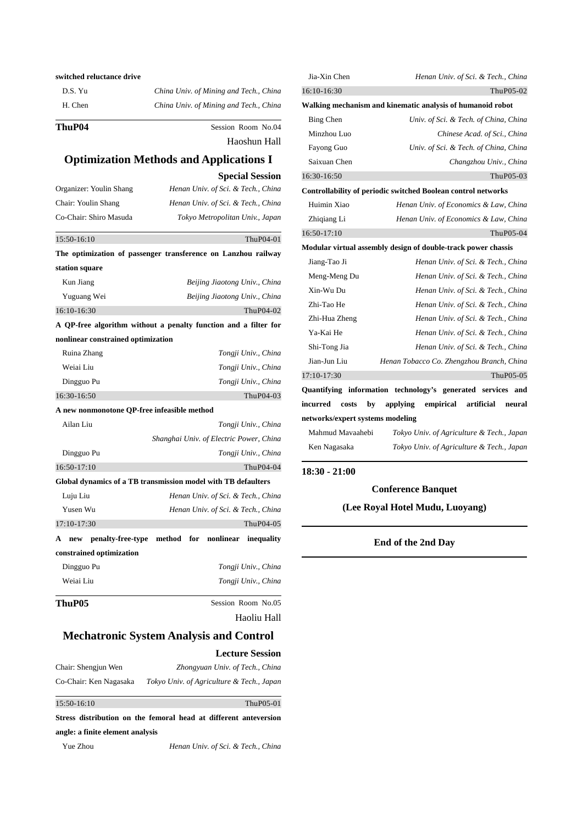| switched reluctance drive |                                        |
|---------------------------|----------------------------------------|
| D.S. Yu                   | China Univ. of Mining and Tech., China |
| H. Chen                   | China Univ. of Mining and Tech., China |
| ThuP04                    | Session Room No.04                     |

Haoshun Hall

## **Optimization Methods and Applications I**

**Special Session**

| Organizer: Youlin Shang            | Henan Univ. of Sci. & Tech., China                              |
|------------------------------------|-----------------------------------------------------------------|
| Chair: Youlin Shang                | Henan Univ. of Sci. & Tech., China                              |
| Co-Chair: Shiro Masuda             | Tokyo Metropolitan Univ., Japan                                 |
| 15:50-16:10                        | ThuP04-01                                                       |
|                                    | The optimization of passenger transference on Lanzhou railway   |
| station square                     |                                                                 |
| Kun Jiang                          | Beijing Jiaotong Univ., China                                   |
| Yuguang Wei                        | Beijing Jiaotong Univ., China                                   |
| 16:10-16:30                        | ThuP04-02                                                       |
|                                    | A QP-free algorithm without a penalty function and a filter for |
| nonlinear constrained optimization |                                                                 |
| Ruina Zhang                        | Tongji Univ., China                                             |
|                                    |                                                                 |

Weiai Liu *Tongji Univ., China* Dingguo Pu *Tongji Univ., China* 16:30-16:50 ThuP04-03 **A new nonmonotone QP-free infeasible method**

| ThuP05                   | Session Room No.05                                            |
|--------------------------|---------------------------------------------------------------|
| Weiai Liu                | Tongji Univ., China                                           |
| Dingguo Pu               | Tongji Univ., China                                           |
| constrained optimization |                                                               |
| A<br>new                 | penalty-free-type method for nonlinear<br>inequality          |
| 17:10-17:30              | ThuP04-05                                                     |
| Yusen Wu                 | Henan Univ. of Sci. & Tech., China                            |
| Luju Liu                 | Henan Univ. of Sci. & Tech., China                            |
|                          | Global dynamics of a TB transmission model with TB defaulters |
| $16:50-17:10$            | ThuP04-04                                                     |
| Dingguo Pu               | Tongji Univ., China                                           |
|                          | Shanghai Univ. of Electric Power, China                       |
| Ailan Liu                | Tongji Univ., China                                           |
|                          |                                                               |

Haoliu Hall

## **Mechatronic System Analysis and Control**

|                        | <b>Lecture Session</b>                    |
|------------------------|-------------------------------------------|
| Chair: Shengjun Wen    | Zhongyuan Univ. of Tech., China           |
| Co-Chair: Ken Nagasaka | Tokyo Univ. of Agriculture & Tech., Japan |

```
\overline{a}15:50-16:10 ThuP05-01
Stress distribution on the femoral head at different anteversion 
angle: a finite element analysis
 Yue Zhou Henan Univ. of Sci. & Tech., China
```

| Jia-Xin Chen         |                                                               |
|----------------------|---------------------------------------------------------------|
|                      | Henan Univ. of Sci. & Tech., China                            |
| 16:10-16:30          | ThuP05-02                                                     |
|                      | Walking mechanism and kinematic analysis of humanoid robot    |
| Bing Chen            | Univ. of Sci. & Tech. of China, China                         |
| Minzhou Luo          | Chinese Acad. of Sci., China                                  |
| Fayong Guo           | Univ. of Sci. & Tech. of China, China                         |
| Saixuan Chen         | Changzhou Univ., China                                        |
| 16:30-16:50          | ThuP05-03                                                     |
|                      | Controllability of periodic switched Boolean control networks |
| Huimin Xiao          | Henan Univ. of Economics & Law, China                         |
| Zhiqiang Li          | Henan Univ. of Economics & Law, China                         |
| 16:50-17:10          | ThuP05-04                                                     |
|                      | Modular virtual assembly design of double-track power chassis |
| Jiang-Tao Ji         | Henan Univ. of Sci. & Tech., China                            |
| Meng-Meng Du         | Henan Univ. of Sci. & Tech., China                            |
| Xin-Wu Du            | Henan Univ. of Sci. & Tech., China                            |
| Zhi-Tao He           | Henan Univ. of Sci. & Tech., China                            |
| Zhi-Hua Zheng        | Henan Univ. of Sci. & Tech., China                            |
| Ya-Kai He            | Henan Univ. of Sci. & Tech., China                            |
| Shi-Tong Jia         | Henan Univ. of Sci. & Tech., China                            |
| Jian-Jun Liu         | Henan Tobacco Co. Zhengzhou Branch, China                     |
| 17:10-17:30          | ThuP05-05                                                     |
|                      | Quantifying information technology's generated services and   |
| incurred costs<br>bv | applying<br>empirical artificial<br>neural                    |

**networks/expert systems modeling**

| Mahmud Mavaahebi | Tokyo Univ. of Agriculture & Tech., Japan |
|------------------|-------------------------------------------|
| Ken Nagasaka     | Tokyo Univ. of Agriculture & Tech., Japan |

### **18:30 - 21:00**

l

l,

.

### **Conference Banquet**

**(Lee Royal Hotel Mudu, Luoyang)**

### **End of the 2nd Day**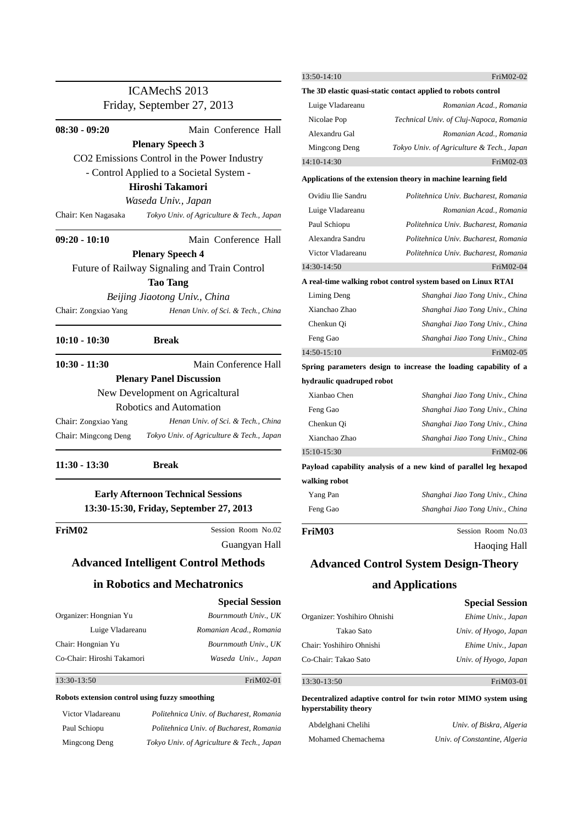|                                                |                                               | 13:50-14:10                  | FriM02-02                                                         |
|------------------------------------------------|-----------------------------------------------|------------------------------|-------------------------------------------------------------------|
| ICAMechS 2013<br>Friday, September 27, 2013    |                                               |                              | The 3D elastic quasi-static contact applied to robots control     |
|                                                |                                               | Luige Vladareanu             | Romanian Acad., Romania                                           |
|                                                |                                               | Nicolae Pop                  | Technical Univ. of Cluj-Napoca, Romania                           |
| $08:30 - 09:20$                                | Main Conference Hall                          | Alexandru Gal                | Romanian Acad., Romania                                           |
|                                                | <b>Plenary Speech 3</b>                       | Mingcong Deng                | Tokyo Univ. of Agriculture & Tech., Japan                         |
|                                                | CO2 Emissions Control in the Power Industry   | 14:10-14:30                  | FriM02-03                                                         |
|                                                | - Control Applied to a Societal System -      |                              | Applications of the extension theory in machine learning field    |
|                                                | Hiroshi Takamori                              | Ovidiu Ilie Sandru           | Politehnica Univ. Bucharest, Romania                              |
|                                                | Waseda Univ., Japan                           | Luige Vladareanu             | Romanian Acad., Romania                                           |
| Chair: Ken Nagasaka                            | Tokyo Univ. of Agriculture & Tech., Japan     | Paul Schiopu                 | Politehnica Univ. Bucharest, Romania                              |
| $09:20 - 10:10$                                | Main Conference Hall                          | Alexandra Sandru             | Politehnica Univ. Bucharest, Romania                              |
|                                                | <b>Plenary Speech 4</b>                       | Victor Vladareanu            | Politehnica Univ. Bucharest, Romania                              |
|                                                | Future of Railway Signaling and Train Control | 14:30-14:50                  | FriM02-04                                                         |
|                                                | <b>Tao Tang</b>                               |                              | A real-time walking robot control system based on Linux RTAI      |
|                                                | Beijing Jiaotong Univ., China                 | Liming Deng                  | Shanghai Jiao Tong Univ., China                                   |
| Chair: Zongxiao Yang                           | Henan Univ. of Sci. & Tech., China            | Xianchao Zhao                | Shanghai Jiao Tong Univ., China                                   |
|                                                |                                               | Chenkun Qi                   | Shanghai Jiao Tong Univ., China                                   |
| $10:10 - 10:30$                                | <b>Break</b>                                  | Feng Gao                     | Shanghai Jiao Tong Univ., China                                   |
|                                                |                                               | 14:50-15:10                  | FriM02-05                                                         |
| $10:30 - 11:30$                                | Main Conference Hall                          |                              | Spring parameters design to increase the loading capability of a  |
|                                                | <b>Plenary Panel Discussion</b>               | hydraulic quadruped robot    |                                                                   |
|                                                | New Development on Agricaltural               | Xianbao Chen                 | Shanghai Jiao Tong Univ., China                                   |
|                                                | Robotics and Automation                       | Feng Gao                     | Shanghai Jiao Tong Univ., China                                   |
| Chair: Zongxiao Yang                           | Henan Univ. of Sci. & Tech., China            | Chenkun Qi                   | Shanghai Jiao Tong Univ., China                                   |
| Chair: Mingcong Deng                           | Tokyo Univ. of Agriculture & Tech., Japan     | Xianchao Zhao                | Shanghai Jiao Tong Univ., China                                   |
|                                                |                                               | 15:10-15:30                  | FriM02-06                                                         |
| $11:30 - 13:30$                                | <b>Break</b>                                  |                              | Payload capability analysis of a new kind of parallel leg hexapod |
|                                                |                                               | walking robot                |                                                                   |
|                                                | <b>Early Afternoon Technical Sessions</b>     | Yang Pan                     | Shanghai Jiao Tong Univ., China                                   |
|                                                | 13:30-15:30, Friday, September 27, 2013       | Feng Gao                     | Shanghai Jiao Tong Univ., China                                   |
|                                                |                                               |                              |                                                                   |
| FriM02                                         | Session Room No.02                            | FriM03                       | Session Room No.03                                                |
|                                                | Guangyan Hall                                 |                              | <b>Haoqing Hall</b>                                               |
|                                                | <b>Advanced Intelligent Control Methods</b>   |                              | <b>Advanced Control System Design-Theory</b>                      |
|                                                | in Robotics and Mechatronics                  |                              | and Applications                                                  |
|                                                | <b>Special Session</b>                        |                              | <b>Special Session</b>                                            |
| Organizer: Hongnian Yu                         | Bournmouth Univ., UK                          | Organizer: Yoshihiro Ohnishi | Ehime Univ., Japan                                                |
| Luige Vladareanu                               | Romanian Acad., Romania                       | Takao Sato                   | Univ. of Hyogo, Japan                                             |
| Chair: Hongnian Yu                             | Bournmouth Univ., UK                          | Chair: Yoshihiro Ohnishi     | Ehime Univ., Japan                                                |
| Co-Chair: Hiroshi Takamori                     | Waseda Univ., Japan                           | Co-Chair: Takao Sato         | Univ. of Hyogo, Japan                                             |
| 13:30-13:50                                    | FriM02-01                                     | 13:30-13:50                  | FriM03-01                                                         |
| Robots extension control using fuzzy smoothing |                                               |                              |                                                                   |
|                                                |                                               | hyperstability theory        | Decentralized adaptive control for twin rotor MIMO system using   |

| Victor Vladareanu | Politehnica Univ. of Bucharest, Romania   |
|-------------------|-------------------------------------------|
| Paul Schiopu      | Politehnica Univ. of Bucharest, Romania   |
| Mingcong Deng     | Tokyo Univ. of Agriculture & Tech., Japan |

Abdelghani Chelihi *Univ. of Biskra, Algeria* Mohamed Chemachema *Univ. of Constantine, Algeria*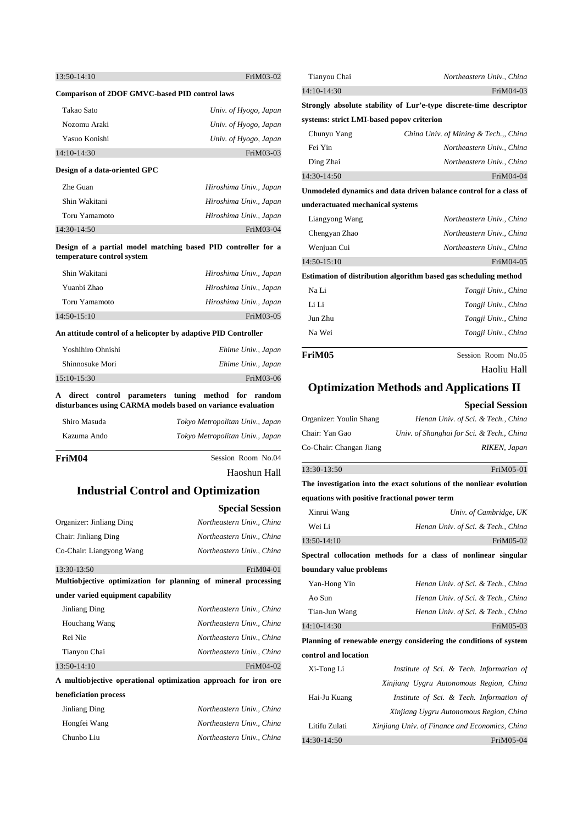| $13:50-14:10$ | FriM03-02 |
|---------------|-----------|
|               |           |

#### **Comparison of 2DOF GMVC-based PID control laws**

| Takao Sato    | Univ. of Hyogo, Japan |
|---------------|-----------------------|
| Nozomu Araki  | Univ. of Hyogo, Japan |
| Yasuo Konishi | Univ. of Hyogo, Japan |
| 14:10-14:30   | FriM03-03             |

#### **Design of a data-oriented GPC**

| Zhe Guan      | Hiroshima Univ., Japan |
|---------------|------------------------|
| Shin Wakitani | Hiroshima Univ., Japan |
| Toru Yamamoto | Hiroshima Univ., Japan |
| 14:30-14:50   | $FiM03-04$             |

**Design of a partial model matching based PID controller for a temperature control system**

| Shin Wakitani | Hiroshima Univ., Japan |
|---------------|------------------------|
| Yuanbi Zhao   | Hiroshima Univ., Japan |
| Toru Yamamoto | Hiroshima Univ., Japan |
| $14:50-15:10$ | FriM03-05              |

#### **An attitude control of a helicopter by adaptive PID Controller**

| Yoshihiro Ohnishi | Ehime Univ., Japan |
|-------------------|--------------------|
| Shinnosuke Mori   | Ehime Univ., Japan |
| $15:10-15:30$     | FriM03-06          |

#### **A direct control parameters tuning method for random disturbances using CARMA models based on variance evaluation**

| Shiro Masuda | Tokyo Metropolitan Univ., Japan |
|--------------|---------------------------------|
| Kazuma Ando  | Tokyo Metropolitan Univ., Japan |

### **FriM04** Session Room No.04

Haoshun Hall

## **Industrial Control and Optimization**

|                                   | <b>Special Session</b>                                          |
|-----------------------------------|-----------------------------------------------------------------|
| Organizer: Jinliang Ding          | Northeastern Univ., China                                       |
| Chair: Jinliang Ding              | Northeastern Univ., China                                       |
| Co-Chair: Liangyong Wang          | Northeastern Univ China                                         |
| $13:30-13:50$                     | $FiM04-01$                                                      |
|                                   | Multiobjective optimization for planning of mineral processing  |
| under varied equipment capability |                                                                 |
| Jinliang Ding                     | Northeastern Univ., China                                       |
| Houchang Wang                     | Northeastern Univ China                                         |
| Rei Nie                           | Northeastern Univ China                                         |
| Tianyou Chai                      | Northeastern Univ China                                         |
| $13:50-14:10$                     | FriM04-02                                                       |
|                                   | A multiobjective operational optimization approach for iron ore |
| beneficiation process             |                                                                 |
| Jinliang Ding                     | Northeastern Univ., China                                       |
| Hongfei Wang                      | Northeastern Univ., China                                       |
| Chunbo Liu                        | Northeastern Univ China                                         |

| Tianyou Chai                              | Northeastern Univ., China                                          |
|-------------------------------------------|--------------------------------------------------------------------|
| 14:10-14:30                               | FriM04-03                                                          |
|                                           | Strongly absolute stability of Lur'e-type discrete-time descriptor |
| systems: strict LMI-based popov criterion |                                                                    |
| Chunyu Yang                               | China Univ. of Mining & Tech.,, China                              |
| Fei Yin                                   | Northeastern Univ., China                                          |
| Ding Zhai                                 | Northeastern Univ., China                                          |
| 14:30-14:50                               | FriM04-04                                                          |
|                                           | Unmodeled dynamics and data driven balance control for a class of  |
| underactuated mechanical systems          |                                                                    |
| Liangyong Wang                            | Northeastern Univ., China                                          |
| Chengyan Zhao                             | Northeastern Univ., China                                          |
| Wenjuan Cui                               | Northeastern Univ., China                                          |
| 14:50-15:10                               | FriM04-05                                                          |
|                                           | Estimation of distribution algorithm based gas scheduling method   |
| Na Li                                     | Tongji Univ., China                                                |
| Li Li                                     | Tongji Univ., China                                                |

 $\overline{a}$ 

 $\overline{a}$ 

## FriM05 Session Room No.05

Haoliu Hall

## **Optimization Methods and Applications II**

Jun Zhu *Tongji Univ., China* Na Wei *Tongji Univ., China*

#### **Special Session**

| Organizer: Youlin Shang | Henan Univ. of Sci. & Tech., China        |
|-------------------------|-------------------------------------------|
| Chair: Yan Gao          | Univ. of Shanghai for Sci. & Tech., China |
| Co-Chair: Changan Jiang | RIKEN, Japan                              |

#### 13:30-13:50FriM05-01

**The investigation into the exact solutions of the nonliear evolution equations with positive fractional power term**

| Xinrui Wang             | Univ. of Cambridge, UK                                            |
|-------------------------|-------------------------------------------------------------------|
| Wei Li                  | Henan Univ. of Sci. & Tech., China                                |
| 13:50-14:10             | FriM05-02                                                         |
|                         | Spectral collocation methods for a class of nonlinear singular    |
| boundary value problems |                                                                   |
| Yan-Hong Yin            | Henan Univ. of Sci. & Tech., China                                |
| Ao Sun                  | Henan Univ. of Sci. & Tech., China                                |
| Tian-Jun Wang           | Henan Univ. of Sci. & Tech., China                                |
| 14:10-14:30             | FriM05-03                                                         |
|                         | Planning of renewable energy considering the conditions of system |
| control and location    |                                                                   |
| Xi-Tong Li              | Institute of Sci. & Tech. Information of                          |
|                         | Xinjiang Uygru Autonomous Region, China                           |
| Hai-Ju Kuang            | Institute of Sci. & Tech. Information of                          |
|                         | Xinjiang Uygru Autonomous Region, China                           |
| Litifu Zulati           | Xinjiang Univ. of Finance and Economics, China                    |

14:30-14:50 **FriM05-04**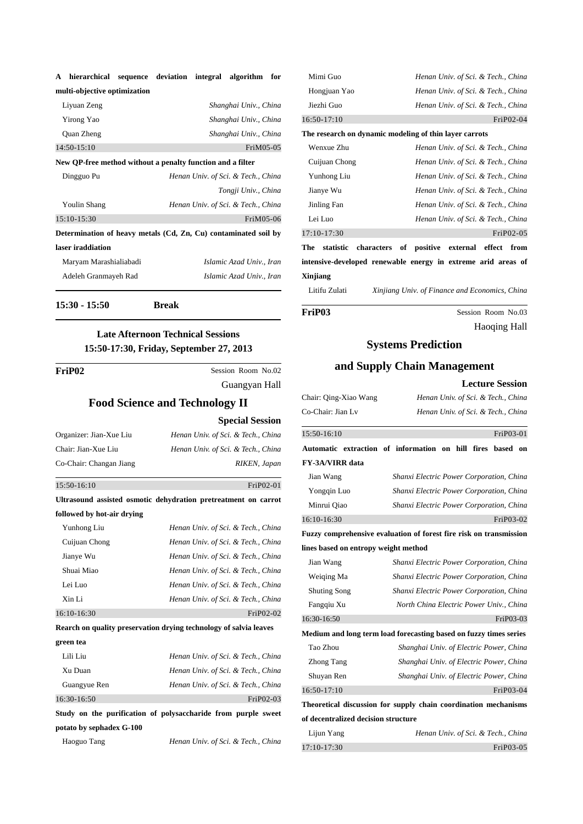| ${\bf A}$ | hierarchical sequence deviation integral algorithm for |  |  |  |
|-----------|--------------------------------------------------------|--|--|--|
|           | multi-objective optimization                           |  |  |  |

| New QP-free method without a penalty function and a filter |                       |
|------------------------------------------------------------|-----------------------|
| $14:50-15:10$                                              | FriM05-05             |
| <b>Quan Zheng</b>                                          | Shanghai Univ., China |
| Yirong Yao                                                 | Shanghai Univ., China |
| Liyuan Zeng                                                | Shanghai Univ., China |

| Dingguo Pu             | Henan Univ. of Sci. & Tech., China                              |
|------------------------|-----------------------------------------------------------------|
|                        | Tongji Univ., China                                             |
| Youlin Shang           | Henan Univ. of Sci. & Tech., China                              |
| $15:10-15:30$          | FriM05-06                                                       |
|                        | Determination of heavy metals (Cd, Zn, Cu) contaminated soil by |
| laser iraddiation      |                                                                 |
| Maryam Marashialiabadi | Islamic Azad Univ., Iran                                        |
| Adeleh Granmayeh Rad   | Islamic Azad Univ., Iran                                        |
|                        |                                                                 |

**15:30 - 15:50 Break** 

l

## **Late Afternoon Technical Sessions 15:50-17:30, Friday, September 27, 2013**

| FriP02 | Session Room No.02                    |
|--------|---------------------------------------|
|        | Guangyan Hall                         |
|        | <b>Food Science and Technology II</b> |
|        | <b>Special Session</b>                |

| Organizer: Jian-Xue Liu | Henan Univ. of Sci. & Tech., China |
|-------------------------|------------------------------------|
| Chair: Jian-Xue Liu     | Henan Univ. of Sci. & Tech., China |
| Co-Chair: Changan Jiang | RIKEN, Japan                       |
|                         |                                    |

#### 15:50-16:10FriP02-01

**followed by hot-air drying**

**Ultrasound assisted osmotic dehydration pretreatment on carrot** 

| Yunhong Liu              | Henan Univ. of Sci. & Tech., China                                |
|--------------------------|-------------------------------------------------------------------|
| Cuijuan Chong            | Henan Univ. of Sci. & Tech., China                                |
| Jianye Wu                | Henan Univ. of Sci. & Tech., China                                |
| Shuai Miao               | Henan Univ. of Sci. & Tech., China                                |
| Lei Luo                  | Henan Univ. of Sci. & Tech., China                                |
| Xin Li                   | Henan Univ. of Sci. & Tech., China                                |
| 16:10-16:30              | FriP02-02                                                         |
|                          | Rearch on quality preservation drying technology of salvia leaves |
| green tea                |                                                                   |
| Lili Liu                 | Henan Univ. of Sci. & Tech., China                                |
| Xu Duan                  | Henan Univ. of Sci. & Tech., China                                |
| Guangyue Ren             | Henan Univ. of Sci. & Tech., China                                |
| 16:30-16:50              | FriP02-03                                                         |
|                          | Study on the purification of polysaccharide from purple sweet     |
| potato by sephadex G-100 |                                                                   |

Haoguo Tang *Henan Univ. of Sci. & Tech., China*

| Mimi Guo                                               | Henan Univ. of Sci. & Tech., China |
|--------------------------------------------------------|------------------------------------|
| Hongjuan Yao                                           | Henan Univ. of Sci. & Tech., China |
| Jiezhi Guo                                             | Henan Univ. of Sci. & Tech., China |
| $16:50-17:10$                                          | FriP02-04                          |
| The research on dynamic modeling of thin layer carrots |                                    |
| Wenxue Zhu                                             | Henan Univ. of Sci. & Tech., China |
| Cuijuan Chong                                          | Henan Univ. of Sci. & Tech., China |
| Yunhong Liu                                            | Henan Univ. of Sci. & Tech., China |
| Jianye Wu                                              | Henan Univ. of Sci. & Tech., China |
| Jinling Fan                                            | Henan Univ. of Sci. & Tech., China |
| Lei Luo                                                | Henan Univ. of Sci. & Tech., China |
| 17:10-17:30                                            | FriP02-05                          |
|                                                        |                                    |

**The statistic characters of positive external effect from intensive-developed renewable energy in extreme arid areas of Xinjiang**

Litifu Zulati *Xinjiang Univ. of Finance and Economics, China*

 $\overline{a}$ 

FriP03 Session Room No.03 Haoqing Hall

## **Systems Prediction**

## **and Supply Chain Management**

|                                      | <b>Lecture Session</b>                                             |
|--------------------------------------|--------------------------------------------------------------------|
| Chair: Qing-Xiao Wang                | Henan Univ. of Sci. & Tech., China                                 |
| Co-Chair: Jian Lv                    | Henan Univ. of Sci. & Tech., China                                 |
| 15:50-16:10                          | FriP03-01                                                          |
|                                      | Automatic extraction of information on hill fires<br>based on      |
| <b>FY-3A/VIRR</b> data               |                                                                    |
| Jian Wang                            | Shanxi Electric Power Corporation, China                           |
| Yongqin Luo                          | Shanxi Electric Power Corporation, China                           |
| Minrui Qiao                          | Shanxi Electric Power Corporation, China                           |
| 16:10-16:30                          | FriP03-02                                                          |
|                                      | Fuzzy comprehensive evaluation of forest fire risk on transmission |
| lines based on entropy weight method |                                                                    |
| Jian Wang                            | Shanxi Electric Power Corporation, China                           |
| Weiging Ma                           | Shanxi Electric Power Corporation, China                           |
| <b>Shuting Song</b>                  | Shanxi Electric Power Corporation, China                           |
| Fangqiu Xu                           | North China Electric Power Univ., China                            |
| 16:30-16:50                          | FriP03-03                                                          |
|                                      | Medium and long term load forecasting based on fuzzy times series  |
| Tao Zhou                             | Shanghai Univ. of Electric Power, China                            |
| <b>Zhong Tang</b>                    | Shanghai Univ. of Electric Power, China                            |
| Shuyan Ren                           | Shanghai Univ. of Electric Power, China                            |
| $16:50-17:10$                        | FriP03-04                                                          |
|                                      | Theoretical discussion for supply chain coordination mechanisms    |
| of decentralized decision structure  |                                                                    |
| Lijun Yang                           | Henan Univ. of Sci. & Tech., China                                 |
| 17:10-17:30                          | FriP03-05                                                          |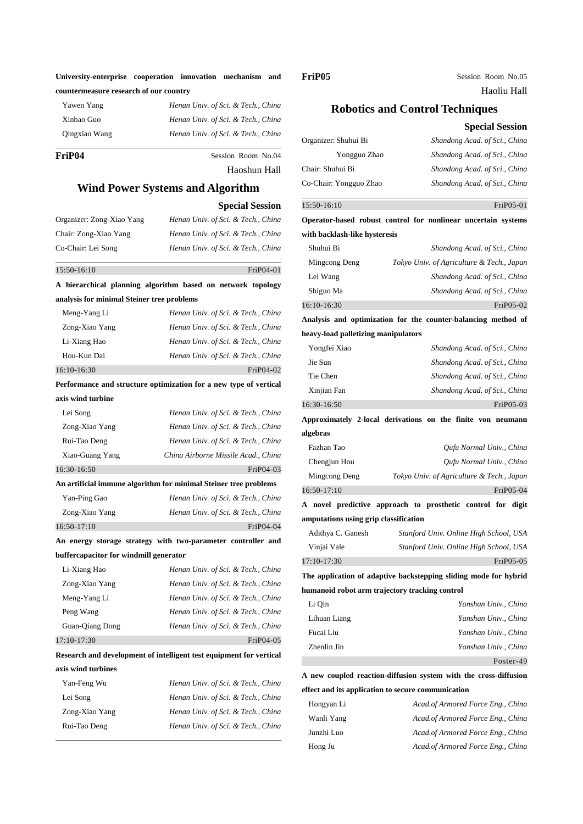| University-enterprise cooperation innovation mechanism and |  |  |
|------------------------------------------------------------|--|--|
| countermeasure research of our country                     |  |  |

| Yawen Yang    | Henan Univ. of Sci. & Tech., China |
|---------------|------------------------------------|
| Xinbao Guo    | Henan Univ. of Sci. & Tech., China |
| Qingxiao Wang | Henan Univ. of Sci. & Tech., China |
|               |                                    |

**FriP04** Session Room No.04 Haoshun Hall

# **Wind Power Systems and Algorithm**

## **Special Session**

| Organizer: Zong-Xiao Yang | Henan Univ. of Sci. & Tech., China |
|---------------------------|------------------------------------|
| Chair: Zong-Xiao Yang     | Henan Univ. of Sci. & Tech., China |
| Co-Chair: Lei Song        | Henan Univ. of Sci. & Tech., China |

### 15:50-16:10FriP04-01

|                                            | A hierarchical planning algorithm based on network topology         |
|--------------------------------------------|---------------------------------------------------------------------|
| analysis for minimal Steiner tree problems |                                                                     |
| Meng-Yang Li                               | Henan Univ. of Sci. & Tech., China                                  |
| Zong-Xiao Yang                             | Henan Univ. of Sci. & Tech., China                                  |
| Li-Xiang Hao                               | Henan Univ. of Sci. & Tech., China                                  |
| Hou-Kun Dai                                | Henan Univ. of Sci. & Tech., China                                  |
| 16:10-16:30                                | FriP04-02                                                           |
|                                            | Performance and structure optimization for a new type of vertical   |
| axis wind turbine                          |                                                                     |
| Lei Song                                   | Henan Univ. of Sci. & Tech., China                                  |
| Zong-Xiao Yang                             | Henan Univ. of Sci. & Tech., China                                  |
| Rui-Tao Deng                               | Henan Univ. of Sci. & Tech., China                                  |
| Xiao-Guang Yang                            | China Airborne Missile Acad., China                                 |
| 16:30-16:50                                | FriP04-03                                                           |
|                                            | An artificial immune algorithm for minimal Steiner tree problems    |
| Yan-Ping Gao                               | Henan Univ. of Sci. & Tech., China                                  |
| Zong-Xiao Yang                             | Henan Univ. of Sci. & Tech., China                                  |
| $16:50-17:10$                              | FriP04-04                                                           |
|                                            | An energy storage strategy with two-parameter controller and        |
| buffercapacitor for windmill generator     |                                                                     |
| Li-Xiang Hao                               | Henan Univ. of Sci. & Tech., China                                  |
| Zong-Xiao Yang                             | Henan Univ. of Sci. & Tech., China                                  |
| Meng-Yang Li                               | Henan Univ. of Sci. & Tech., China                                  |
| Peng Wang                                  | Henan Univ. of Sci. & Tech., China                                  |
| Guan-Qiang Dong                            | Henan Univ. of Sci. & Tech., China                                  |
| 17:10-17:30                                | FriP04-05                                                           |
|                                            | Research and development of intelligent test equipment for vertical |
| axis wind turbines                         |                                                                     |
| Yan-Feng Wu                                | Henan Univ. of Sci. & Tech., China                                  |
| Lei Song                                   | Henan Univ. of Sci. & Tech., China                                  |

Zong-Xiao Yang *Henan Univ. of Sci. & Tech., China* Rui-Tao Deng *Henan Univ. of Sci. & Tech., China*

 $\overline{a}$ 

FriP05 Session Room No.05 Haoliu Hall

## **Robotics and Control Techniques**

|                                                | <b>Special Session</b>                                           |
|------------------------------------------------|------------------------------------------------------------------|
| Organizer: Shuhui Bi                           | Shandong Acad. of Sci., China                                    |
| Yongguo Zhao                                   | Shandong Acad. of Sci., China                                    |
| Chair: Shuhui Bi                               | Shandong Acad. of Sci., China                                    |
| Co-Chair: Yongguo Zhao                         | Shandong Acad. of Sci., China                                    |
| 15:50-16:10                                    | FriP05-01                                                        |
|                                                | Operator-based robust control for nonlinear uncertain systems    |
| with backlash-like hysteresis                  |                                                                  |
| Shuhui Bi                                      | Shandong Acad. of Sci., China                                    |
| Mingcong Deng                                  | Tokyo Univ. of Agriculture & Tech., Japan                        |
| Lei Wang                                       | Shandong Acad. of Sci., China                                    |
| Shiguo Ma                                      | Shandong Acad. of Sci., China                                    |
| 16:10-16:30                                    | FriP05-02                                                        |
|                                                | Analysis and optimization for the counter-balancing method of    |
| heavy-load palletizing manipulators            |                                                                  |
| Yongfei Xiao                                   | Shandong Acad. of Sci., China                                    |
| Jie Sun                                        | Shandong Acad. of Sci., China                                    |
| Tie Chen                                       | Shandong Acad. of Sci., China                                    |
| Xinjian Fan                                    | Shandong Acad. of Sci., China                                    |
| 16:30-16:50                                    | FriP05-03                                                        |
|                                                | Approximately 2-local derivations on the finite von neumann      |
| algebras                                       |                                                                  |
| Fazhan Tao                                     | Qufu Normal Univ., China                                         |
| Chengjun Hou                                   | Qufu Normal Univ., China                                         |
| Mingcong Deng                                  | Tokyo Univ. of Agriculture & Tech., Japan                        |
| 16:50-17:10                                    | FriP05-04                                                        |
|                                                | A novel predictive approach to prosthetic control for digit      |
| amputations using grip classification          |                                                                  |
| Adithya C. Ganesh                              | Stanford Univ. Online High School, USA                           |
| Vinjai Vale                                    | Stanford Univ. Online High School, USA                           |
| 17:10-17:30                                    | FriP05-05                                                        |
|                                                | The application of adaptive backstepping sliding mode for hybrid |
| humanoid robot arm trajectory tracking control |                                                                  |
| Li Qin                                         | Yanshan Univ., China                                             |
| Lihuan Liang                                   | Yanshan Univ., China                                             |
| Fucai Liu                                      | Yanshan Univ., China                                             |
| Zhenlin Jin                                    | Yanshan Univ., China                                             |
|                                                | Poster-49                                                        |
|                                                |                                                                  |

## **A new coupled reaction-diffusion system with the cross-diffusion effect and its application to secure communication**

| Hongyan Li | Acad.of Armored Force Eng., China |
|------------|-----------------------------------|
| Wanli Yang | Acad.of Armored Force Eng., China |
| Junzhi Luo | Acad.of Armored Force Eng., China |
| Hong Ju    | Acad.of Armored Force Eng., China |